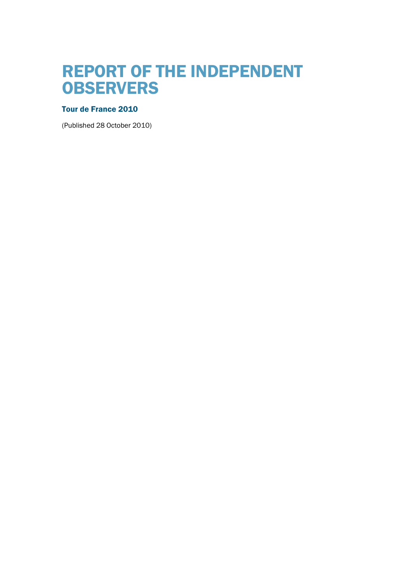# REPORT OF THE INDEPENDENT **OBSERVERS**

## Tour de France 2010

(Published 28 October 2010)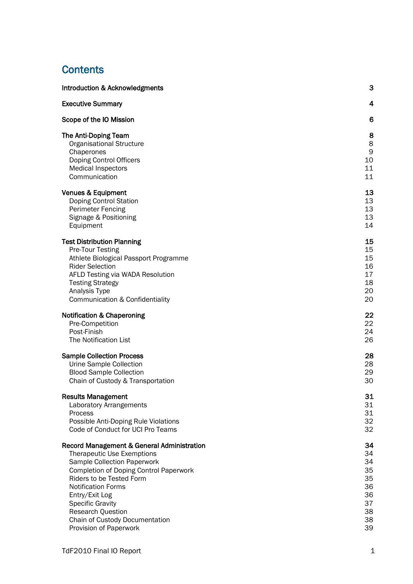## **Contents**

| <b>Introduction &amp; Acknowledgments</b>     | 3           |
|-----------------------------------------------|-------------|
| <b>Executive Summary</b>                      | 4           |
| Scope of the IO Mission                       | 6           |
| The Anti-Doping Team                          | 8           |
| Organisational Structure                      | 8           |
| Chaperones                                    | $\mathsf 9$ |
| Doping Control Officers                       | 10          |
| <b>Medical Inspectors</b>                     | 11          |
| Communication                                 | 11          |
| <b>Venues &amp; Equipment</b>                 | 13          |
| Doping Control Station                        | 13          |
| <b>Perimeter Fencing</b>                      | 13          |
| Signage & Positioning                         | 13          |
| Equipment                                     | 14          |
| <b>Test Distribution Planning</b>             | 15          |
| Pre-Tour Testing                              | 15          |
| Athlete Biological Passport Programme         | 15          |
| <b>Rider Selection</b>                        | 16          |
| AFLD Testing via WADA Resolution              | 17          |
| <b>Testing Strategy</b>                       | 18          |
| Analysis Type                                 | 20          |
| Communication & Confidentiality               | 20          |
| <b>Notification &amp; Chaperoning</b>         | 22          |
| Pre-Competition                               | 22          |
| Post-Finish                                   | 24          |
| The Notification List                         | 26          |
| <b>Sample Collection Process</b>              | 28          |
| Urine Sample Collection                       | 28          |
| <b>Blood Sample Collection</b>                | 29          |
| Chain of Custody & Transportation             | 30          |
| <b>Results Management</b>                     | 31          |
| <b>Laboratory Arrangements</b>                | 31          |
| Process                                       | 31          |
| Possible Anti-Doping Rule Violations          | 32          |
| Code of Conduct for UCI Pro Teams             | 32          |
| Record Management & General Administration    | 34          |
| Therapeutic Use Exemptions                    | 34          |
| Sample Collection Paperwork                   | 34          |
| <b>Completion of Doping Control Paperwork</b> | 35          |
| Riders to be Tested Form                      | 35          |
| <b>Notification Forms</b>                     | 36          |
| Entry/Exit Log                                | 36          |
| <b>Specific Gravity</b>                       | 37          |
| <b>Research Question</b>                      | 38          |
| Chain of Custody Documentation                | 38          |
| Provision of Paperwork                        | 39          |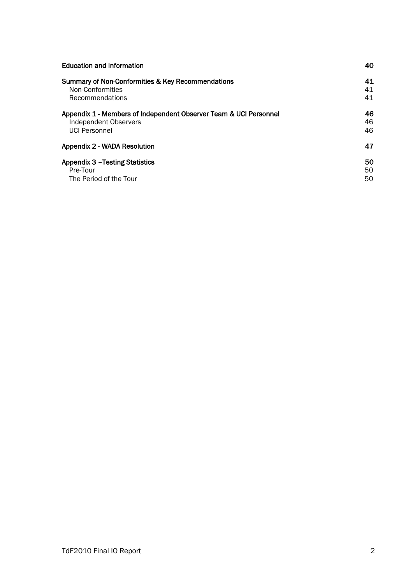| <b>Education and Information</b>                                  | 40 |
|-------------------------------------------------------------------|----|
| Summary of Non-Conformities & Key Recommendations                 | 41 |
| Non-Conformities                                                  | 41 |
| Recommendations                                                   | 41 |
| Appendix 1 - Members of Independent Observer Team & UCI Personnel | 46 |
| <b>Independent Observers</b>                                      | 46 |
| <b>UCI Personnel</b>                                              | 46 |
| Appendix 2 - WADA Resolution                                      | 47 |
| <b>Appendix 3 - Testing Statistics</b>                            | 50 |
| Pre-Tour                                                          | 50 |
| The Period of the Tour                                            | 50 |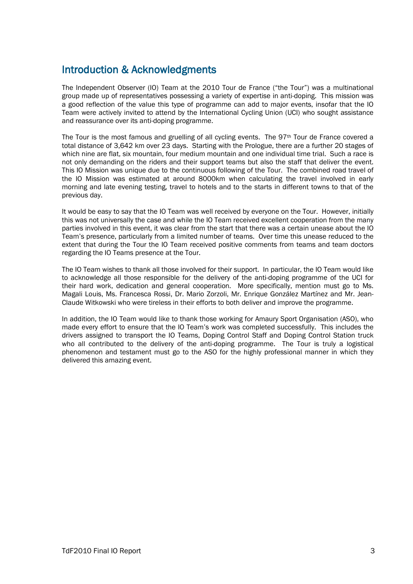## Introduction & Acknowledgments

The Independent Observer (IO) Team at the 2010 Tour de France ("the Tour") was a multinational group made up of representatives possessing a variety of expertise in anti-doping. This mission was a good reflection of the value this type of programme can add to major events, insofar that the IO Team were actively invited to attend by the International Cycling Union (UCI) who sought assistance and reassurance over its anti-doping programme.

The Tour is the most famous and gruelling of all cycling events. The  $97<sup>th</sup>$  Tour de France covered a total distance of 3,642 km over 23 days. Starting with the Prologue, there are a further 20 stages of which nine are flat, six mountain, four medium mountain and one individual time trial. Such a race is not only demanding on the riders and their support teams but also the staff that deliver the event. This IO Mission was unique due to the continuous following of the Tour. The combined road travel of the IO Mission was estimated at around 8000km when calculating the travel involved in early morning and late evening testing, travel to hotels and to the starts in different towns to that of the previous day.

It would be easy to say that the IO Team was well received by everyone on the Tour. However, initially this was not universally the case and while the IO Team received excellent cooperation from the many parties involved in this event, it was clear from the start that there was a certain unease about the IO Team's presence, particularly from a limited number of teams. Over time this unease reduced to the extent that during the Tour the IO Team received positive comments from teams and team doctors regarding the IO Teams presence at the Tour.

The IO Team wishes to thank all those involved for their support. In particular, the IO Team would like to acknowledge all those responsible for the delivery of the anti-doping programme of the UCI for their hard work, dedication and general cooperation. More specifically, mention must go to Ms. Magali Louis, Ms. Francesca Rossi, Dr. Mario Zorzoli, Mr. Enrique González Martínez and Mr. Jean-Claude Witkowski who were tireless in their efforts to both deliver and improve the programme.

In addition, the IO Team would like to thank those working for Amaury Sport Organisation (ASO), who made every effort to ensure that the IO Team's work was completed successfully. This includes the drivers assigned to transport the IO Teams, Doping Control Staff and Doping Control Station truck who all contributed to the delivery of the anti-doping programme. The Tour is truly a logistical phenomenon and testament must go to the ASO for the highly professional manner in which they delivered this amazing event.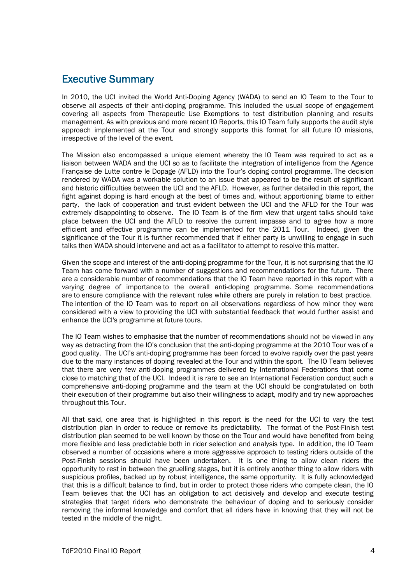## Executive Summary

In 2010, the UCI invited the World Anti-Doping Agency (WADA) to send an IO Team to the Tour to observe all aspects of their anti-doping programme. This included the usual scope of engagement covering all aspects from Therapeutic Use Exemptions to test distribution planning and results management. As with previous and more recent IO Reports, this IO Team fully supports the audit style approach implemented at the Tour and strongly supports this format for all future IO missions, irrespective of the level of the event.

The Mission also encompassed a unique element whereby the IO Team was required to act as a liaison between WADA and the UCI so as to facilitate the integration of intelligence from the Agence Française de Lutte contre le Dopage (AFLD) into the Tour's doping control programme. The decision rendered by WADA was a workable solution to an issue that appeared to be the result of significant and historic difficulties between the UCI and the AFLD. However, as further detailed in this report, the fight against doping is hard enough at the best of times and, without apportioning blame to either party, the lack of cooperation and trust evident between the UCI and the AFLD for the Tour was extremely disappointing to observe. The IO Team is of the firm view that urgent talks should take place between the UCI and the AFLD to resolve the current impasse and to agree how a more efficient and effective programme can be implemented for the 2011 Tour. Indeed, given the significance of the Tour it is further recommended that if either party is unwilling to engage in such talks then WADA should intervene and act as a facilitator to attempt to resolve this matter.

Given the scope and interest of the anti-doping programme for the Tour, it is not surprising that the IO Team has come forward with a number of suggestions and recommendations for the future. There are a considerable number of recommendations that the IO Team have reported in this report with a varying degree of importance to the overall anti-doping programme. Some recommendations are to ensure compliance with the relevant rules while others are purely in relation to best practice. The intention of the IO Team was to report on all observations regardless of how minor they were considered with a view to providing the UCI with substantial feedback that would further assist and enhance the UCI's programme at future tours.

The IO Team wishes to emphasise that the number of recommendations should not be viewed in any way as detracting from the IO's conclusion that the anti-doping programme at the 2010 Tour was of a good quality. The UCI's anti-doping programme has been forced to evolve rapidly over the past years due to the many instances of doping revealed at the Tour and within the sport. The IO Team believes that there are very few anti-doping programmes delivered by International Federations that come close to matching that of the UCI. Indeed it is rare to see an International Federation conduct such a comprehensive anti-doping programme and the team at the UCI should be congratulated on both their execution of their programme but also their willingness to adapt, modify and try new approaches throughout this Tour.

All that said, one area that is highlighted in this report is the need for the UCI to vary the test distribution plan in order to reduce or remove its predictability. The format of the Post-Finish test distribution plan seemed to be well known by those on the Tour and would have benefited from being more flexible and less predictable both in rider selection and analysis type. In addition, the IO Team observed a number of occasions where a more aggressive approach to testing riders outside of the Post-Finish sessions should have been undertaken. It is one thing to allow clean riders the opportunity to rest in between the gruelling stages, but it is entirely another thing to allow riders with suspicious profiles, backed up by robust intelligence, the same opportunity. It is fully acknowledged that this is a difficult balance to find, but in order to protect those riders who compete clean, the IO Team believes that the UCI has an obligation to act decisively and develop and execute testing strategies that target riders who demonstrate the behaviour of doping and to seriously consider removing the informal knowledge and comfort that all riders have in knowing that they will not be tested in the middle of the night.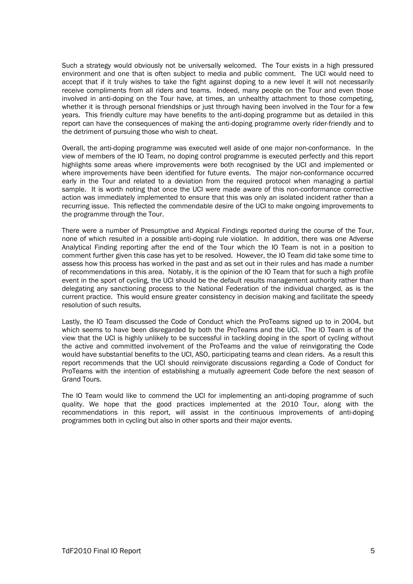Such a strategy would obviously not be universally welcomed. The Tour exists in a high pressured environment and one that is often subject to media and public comment. The UCI would need to accept that if it truly wishes to take the fight against doping to a new level it will not necessarily receive compliments from all riders and teams. Indeed, many people on the Tour and even those involved in anti-doping on the Tour have, at times, an unhealthy attachment to those competing, whether it is through personal friendships or just through having been involved in the Tour for a few years. This friendly culture may have benefits to the anti-doping programme but as detailed in this report can have the consequences of making the anti-doping programme overly rider-friendly and to the detriment of pursuing those who wish to cheat.

Overall, the anti-doping programme was executed well aside of one major non-conformance. In the view of members of the IO Team, no doping control programme is executed perfectly and this report highlights some areas where improvements were both recognised by the UCI and implemented or where improvements have been identified for future events. The major non-conformance occurred early in the Tour and related to a deviation from the required protocol when managing a partial sample. It is worth noting that once the UCI were made aware of this non-conformance corrective action was immediately implemented to ensure that this was only an isolated incident rather than a recurring issue. This reflected the commendable desire of the UCI to make ongoing improvements to the programme through the Tour.

There were a number of Presumptive and Atypical Findings reported during the course of the Tour, none of which resulted in a possible anti-doping rule violation. In addition, there was one Adverse Analytical Finding reporting after the end of the Tour which the IO Team is not in a position to comment further given this case has yet to be resolved. However, the IO Team did take some time to assess how this process has worked in the past and as set out in their rules and has made a number of recommendations in this area. Notably, it is the opinion of the IO Team that for such a high profile event in the sport of cycling, the UCI should be the default results management authority rather than delegating any sanctioning process to the National Federation of the individual charged, as is the current practice. This would ensure greater consistency in decision making and facilitate the speedy resolution of such results.

Lastly, the IO Team discussed the Code of Conduct which the ProTeams signed up to in 2004, but which seems to have been disregarded by both the ProTeams and the UCI. The IO Team is of the view that the UCI is highly unlikely to be successful in tackling doping in the sport of cycling without the active and committed involvement of the ProTeams and the value of reinvigorating the Code would have substantial benefits to the UCI, ASO, participating teams and clean riders. As a result this report recommends that the UCI should reinvigorate discussions regarding a Code of Conduct for ProTeams with the intention of establishing a mutually agreement Code before the next season of Grand Tours.

The IO Team would like to commend the UCI for implementing an anti-doping programme of such quality. We hope that the good practices implemented at the 2010 Tour, along with the recommendations in this report, will assist in the continuous improvements of anti-doping programmes both in cycling but also in other sports and their major events.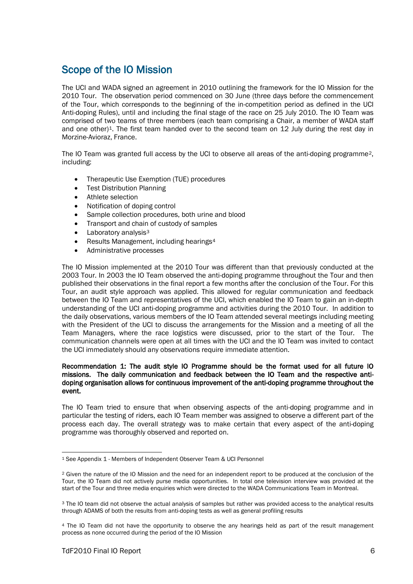## Scope of the IO Mission

The UCI and WADA signed an agreement in 2010 outlining the framework for the IO Mission for the 2010 Tour. The observation period commenced on 30 June (three days before the commencement of the Tour, which corresponds to the beginning of the in-competition period as defined in the UCI Anti-doping Rules), until and including the final stage of the race on 25 July 2010. The IO Team was comprised of two teams of three members (each team comprising a Chair, a member of WADA staff and one other)<sup>[1](#page-6-0)</sup>. The first team handed over to the second team on 12 July during the rest day in Morzine-Avioraz, France.

The IO Team was granted full access by the UCI to observe all areas of the anti-doping programme<sup>[2](#page-6-1)</sup>, including:

- Therapeutic Use Exemption (TUE) procedures
- Test Distribution Planning
- Athlete selection
- Notification of doping control
- Sample collection procedures, both urine and blood
- Transport and chain of custody of samples
- $\bullet$  Laboratory analysis<sup>3</sup>
- Results Management, including hearings<sup>4</sup>
- Administrative processes

The IO Mission implemented at the 2010 Tour was different than that previously conducted at the 2003 Tour. In 2003 the IO Team observed the anti-doping programme throughout the Tour and then published their observations in the final report a few months after the conclusion of the Tour. For this Tour, an audit style approach was applied. This allowed for regular communication and feedback between the IO Team and representatives of the UCI, which enabled the IO Team to gain an in-depth understanding of the UCI anti-doping programme and activities during the 2010 Tour. In addition to the daily observations, various members of the IO Team attended several meetings including meeting with the President of the UCI to discuss the arrangements for the Mission and a meeting of all the Team Managers, where the race logistics were discussed, prior to the start of the Tour. The communication channels were open at all times with the UCI and the IO Team was invited to contact the UCI immediately should any observations require immediate attention.

#### Recommendation 1: The audit style IO Programme should be the format used for all future IO missions. The daily communication and feedback between the IO Team and the respective antidoping organisation allows for continuous improvement of the anti-doping programme throughout the event.

The IO Team tried to ensure that when observing aspects of the anti-doping programme and in particular the testing of riders, each IO Team member was assigned to observe a different part of the process each day. The overall strategy was to make certain that every aspect of the anti-doping programme was thoroughly observed and reported on.

<span id="page-6-0"></span> <sup>1</sup> See Appendix 1 - Members of Independent Observer Team & UCI Personnel

<span id="page-6-1"></span><sup>&</sup>lt;sup>2</sup> Given the nature of the IO Mission and the need for an independent report to be produced at the conclusion of the Tour, the IO Team did not actively purse media opportunities. In total one television interview was provided at the start of the Tour and three media enquiries which were directed to the WADA Communications Team in Montreal.

<span id="page-6-2"></span><sup>3</sup> The IO team did not observe the actual analysis of samples but rather was provided access to the analytical results through ADAMS of both the results from anti-doping tests as well as general profiling results

<span id="page-6-3"></span><sup>4</sup> The IO Team did not have the opportunity to observe the any hearings held as part of the result management process as none occurred during the period of the IO Mission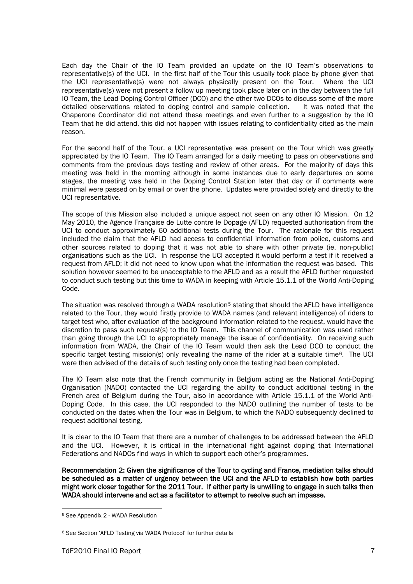Each day the Chair of the IO Team provided an update on the IO Team's observations to representative(s) of the UCI. In the first half of the Tour this usually took place by phone given that the UCI<br>the UCI representative(s) were not always physically present on the Tour. Where the UCI the UCI representative(s) were not always physically present on the Tour. representative(s) were not present a follow up meeting took place later on in the day between the full IO Team, the Lead Doping Control Officer (DCO) and the other two DCOs to discuss some of the more detailed observations related to doping control and sample collection. It was noted that the Chaperone Coordinator did not attend these meetings and even further to a suggestion by the IO Team that he did attend, this did not happen with issues relating to confidentiality cited as the main reason.

For the second half of the Tour, a UCI representative was present on the Tour which was greatly appreciated by the IO Team. The IO Team arranged for a daily meeting to pass on observations and comments from the previous days testing and review of other areas. For the majority of days this meeting was held in the morning although in some instances due to early departures on some stages, the meeting was held in the Doping Control Station later that day or if comments were minimal were passed on by email or over the phone. Updates were provided solely and directly to the UCI representative.

The scope of this Mission also included a unique aspect not seen on any other IO Mission. On 12 May 2010, the Agence Française de Lutte contre le Dopage (AFLD) requested authorisation from the UCI to conduct approximately 60 additional tests during the Tour. The rationale for this request included the claim that the AFLD had access to confidential information from police, customs and other sources related to doping that it was not able to share with other private (ie. non-public) organisations such as the UCI. In response the UCI accepted it would perform a test if it received a request from AFLD; it did not need to know upon what the information the request was based. This solution however seemed to be unacceptable to the AFLD and as a result the AFLD further requested to conduct such testing but this time to WADA in keeping with Article 15.1.1 of the World Anti-Doping Code.

The situation was resolved through a WADA resolution<sup>[5](#page-7-0)</sup> stating that should the AFLD have intelligence related to the Tour, they would firstly provide to WADA names (and relevant intelligence) of riders to target test who, after evaluation of the background information related to the request, would have the discretion to pass such request(s) to the IO Team. This channel of communication was used rather than going through the UCI to appropriately manage the issue of confidentiality. On receiving such information from WADA, the Chair of the IO Team would then ask the Lead DCO to conduct the specific target testing mission(s) only revealing the name of the rider at a suitable time<sup>[6](#page-7-1)</sup>. The UCI were then advised of the details of such testing only once the testing had been completed.

The IO Team also note that the French community in Belgium acting as the National Anti-Doping Organisation (NADO) contacted the UCI regarding the ability to conduct additional testing in the French area of Belgium during the Tour, also in accordance with Article 15.1.1 of the World Anti-Doping Code. In this case, the UCI responded to the NADO outlining the number of tests to be conducted on the dates when the Tour was in Belgium, to which the NADO subsequently declined to request additional testing.

It is clear to the IO Team that there are a number of challenges to be addressed between the AFLD and the UCI. However, it is critical in the international fight against doping that International Federations and NADOs find ways in which to support each other's programmes.

Recommendation 2: Given the significance of the Tour to cycling and France, mediation talks should be scheduled as a matter of urgency between the UCI and the AFLD to establish how both parties might work closer together for the 2011 Tour. If either party is unwilling to engage in such talks then WADA should intervene and act as a facilitator to attempt to resolve such an impasse.

<span id="page-7-0"></span> <sup>5</sup> See Appendix 2 - WADA Resolution

<span id="page-7-1"></span><sup>6</sup> See Section 'AFLD Testing via WADA Protocol' for further details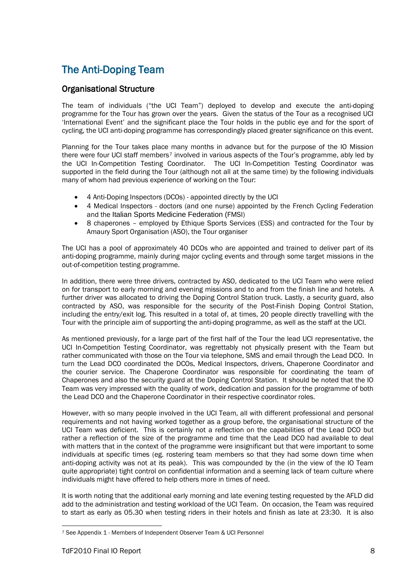## The Anti-Doping Team

## Organisational Structure

The team of individuals ("the UCI Team") deployed to develop and execute the anti-doping programme for the Tour has grown over the years. Given the status of the Tour as a recognised UCI 'International Event' and the significant place the Tour holds in the public eye and for the sport of cycling, the UCI anti-doping programme has correspondingly placed greater significance on this event.

Planning for the Tour takes place many months in advance but for the purpose of the IO Mission there were four UCI staff members<sup>[7](#page-8-0)</sup> involved in various aspects of the Tour's programme, ably led by the UCI In-Competition Testing Coordinator. The UCI In-Competition Testing Coordinator was supported in the field during the Tour (although not all at the same time) by the following individuals many of whom had previous experience of working on the Tour:

- 4 Anti-Doping Inspectors (DCOs) appointed directly by the UCI
- 4 Medical Inspectors doctors (and one nurse) appointed by the French Cycling Federation and the Italian Sports Medicine Federation (FMSI)
- 8 chaperones employed by Ethique Sports Services (ESS) and contracted for the Tour by Amaury Sport Organisation (ASO), the Tour organiser

The UCI has a pool of approximately 40 DCOs who are appointed and trained to deliver part of its anti-doping programme, mainly during major cycling events and through some target missions in the out-of-competition testing programme.

In addition, there were three drivers, contracted by ASO, dedicated to the UCI Team who were relied on for transport to early morning and evening missions and to and from the finish line and hotels. A further driver was allocated to driving the Doping Control Station truck. Lastly, a security guard, also contracted by ASO, was responsible for the security of the Post-Finish Doping Control Station, including the entry/exit log. This resulted in a total of, at times, 20 people directly travelling with the Tour with the principle aim of supporting the anti-doping programme, as well as the staff at the UCI.

As mentioned previously, for a large part of the first half of the Tour the lead UCI representative, the UCI In-Competition Testing Coordinator, was regrettably not physically present with the Team but rather communicated with those on the Tour via telephone, SMS and email through the Lead DCO. In turn the Lead DCO coordinated the DCOs, Medical Inspectors, drivers, Chaperone Coordinator and the courier service. The Chaperone Coordinator was responsible for coordinating the team of Chaperones and also the security guard at the Doping Control Station. It should be noted that the IO Team was very impressed with the quality of work, dedication and passion for the programme of both the Lead DCO and the Chaperone Coordinator in their respective coordinator roles.

However, with so many people involved in the UCI Team, all with different professional and personal requirements and not having worked together as a group before, the organisational structure of the UCI Team was deficient. This is certainly not a reflection on the capabilities of the Lead DCO but rather a reflection of the size of the programme and time that the Lead DCO had available to deal with matters that in the context of the programme were insignificant but that were important to some individuals at specific times (eg. rostering team members so that they had some down time when anti-doping activity was not at its peak). This was compounded by the (in the view of the IO Team quite appropriate) tight control on confidential information and a seeming lack of team culture where individuals might have offered to help others more in times of need.

It is worth noting that the additional early morning and late evening testing requested by the AFLD did add to the administration and testing workload of the UCI Team. On occasion, the Team was required to start as early as 05.30 when testing riders in their hotels and finish as late at 23:30. It is also

<span id="page-8-0"></span> <sup>7</sup> See Appendix 1 - Members of Independent Observer Team & UCI Personnel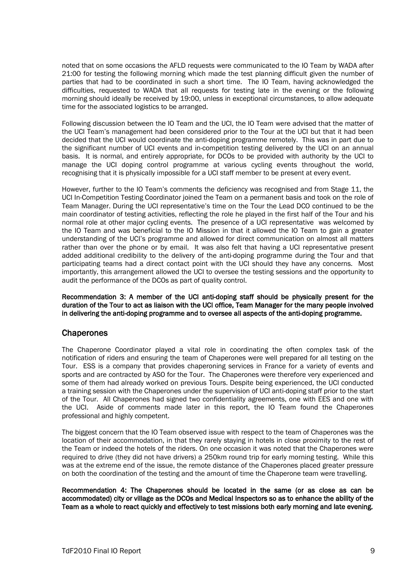noted that on some occasions the AFLD requests were communicated to the IO Team by WADA after 21:00 for testing the following morning which made the test planning difficult given the number of parties that had to be coordinated in such a short time. The IO Team, having acknowledged the difficulties, requested to WADA that all requests for testing late in the evening or the following morning should ideally be received by 19:00, unless in exceptional circumstances, to allow adequate time for the associated logistics to be arranged.

Following discussion between the IO Team and the UCI, the IO Team were advised that the matter of the UCI Team's management had been considered prior to the Tour at the UCI but that it had been decided that the UCI would coordinate the anti-doping programme remotely. This was in part due to the significant number of UCI events and in-competition testing delivered by the UCI on an annual basis. It is normal, and entirely appropriate, for DCOs to be provided with authority by the UCI to manage the UCI doping control programme at various cycling events throughout the world, recognising that it is physically impossible for a UCI staff member to be present at every event.

However, further to the IO Team's comments the deficiency was recognised and from Stage 11, the UCI In-Competition Testing Coordinator joined the Team on a permanent basis and took on the role of Team Manager. During the UCI representative's time on the Tour the Lead DCO continued to be the main coordinator of testing activities, reflecting the role he played in the first half of the Tour and his normal role at other major cycling events. The presence of a UCI representative was welcomed by the IO Team and was beneficial to the IO Mission in that it allowed the IO Team to gain a greater understanding of the UCI's programme and allowed for direct communication on almost all matters rather than over the phone or by email. It was also felt that having a UCI representative present added additional credibility to the delivery of the anti-doping programme during the Tour and that participating teams had a direct contact point with the UCI should they have any concerns. Most importantly, this arrangement allowed the UCI to oversee the testing sessions and the opportunity to audit the performance of the DCOs as part of quality control.

Recommendation 3: A member of the UCI anti-doping staff should be physically present for the duration of the Tour to act as liaison with the UCI office, Team Manager for the many people involved in delivering the anti-doping programme and to oversee all aspects of the anti-doping programme.

### **Chaperones**

The Chaperone Coordinator played a vital role in coordinating the often complex task of the notification of riders and ensuring the team of Chaperones were well prepared for all testing on the Tour. ESS is a company that provides chaperoning services in France for a variety of events and sports and are contracted by ASO for the Tour. The Chaperones were therefore very experienced and some of them had already worked on previous Tours. Despite being experienced, the UCI conducted a training session with the Chaperones under the supervision of UCI anti-doping staff prior to the start of the Tour. All Chaperones had signed two confidentiality agreements, one with EES and one with the UCI. Aside of comments made later in this report, the IO Team found the Chaperones professional and highly competent.

The biggest concern that the IO Team observed issue with respect to the team of Chaperones was the location of their accommodation, in that they rarely staying in hotels in close proximity to the rest of the Team or indeed the hotels of the riders. On one occasion it was noted that the Chaperones were required to drive (they did not have drivers) a 250km round trip for early morning testing. While this was at the extreme end of the issue, the remote distance of the Chaperones placed greater pressure on both the coordination of the testing and the amount of time the Chaperone team were travelling.

Recommendation 4: The Chaperones should be located in the same (or as close as can be accommodated) city or village as the DCOs and Medical Inspectors so as to enhance the ability of the Team as a whole to react quickly and effectively to test missions both early morning and late evening.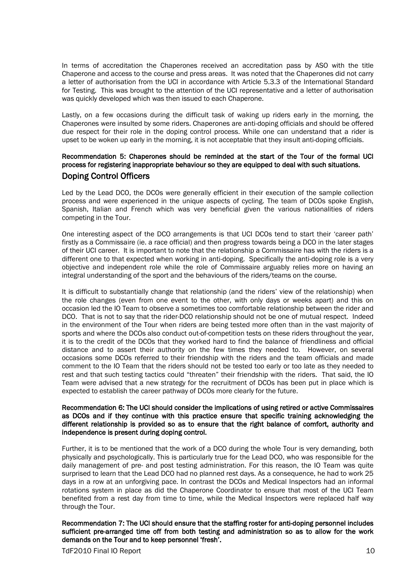In terms of accreditation the Chaperones received an accreditation pass by ASO with the title Chaperone and access to the course and press areas. It was noted that the Chaperones did not carry a letter of authorisation from the UCI in accordance with Article 5.3.3 of the International Standard for Testing. This was brought to the attention of the UCI representative and a letter of authorisation was quickly developed which was then issued to each Chaperone.

Lastly, on a few occasions during the difficult task of waking up riders early in the morning, the Chaperones were insulted by some riders. Chaperones are anti-doping officials and should be offered due respect for their role in the doping control process. While one can understand that a rider is upset to be woken up early in the morning, it is not acceptable that they insult anti-doping officials.

### Recommendation 5: Chaperones should be reminded at the start of the Tour of the formal UCI process for registering inappropriate behaviour so they are equipped to deal with such situations. Doping Control Officers

Led by the Lead DCO, the DCOs were generally efficient in their execution of the sample collection process and were experienced in the unique aspects of cycling. The team of DCOs spoke English, Spanish, Italian and French which was very beneficial given the various nationalities of riders competing in the Tour.

One interesting aspect of the DCO arrangements is that UCI DCOs tend to start their 'career path' firstly as a Commissaire (ie. a race official) and then progress towards being a DCO in the later stages of their UCI career. It is important to note that the relationship a Commissaire has with the riders is a different one to that expected when working in anti-doping. Specifically the anti-doping role is a very objective and independent role while the role of Commissaire arguably relies more on having an integral understanding of the sport and the behaviours of the riders/teams on the course.

It is difficult to substantially change that relationship (and the riders' view of the relationship) when the role changes (even from one event to the other, with only days or weeks apart) and this on occasion led the IO Team to observe a sometimes too comfortable relationship between the rider and DCO. That is not to say that the rider-DCO relationship should not be one of mutual respect. Indeed in the environment of the Tour when riders are being tested more often than in the vast majority of sports and where the DCOs also conduct out-of-competition tests on these riders throughout the year, it is to the credit of the DCOs that they worked hard to find the balance of friendliness and official distance and to assert their authority on the few times they needed to. However, on several occasions some DCOs referred to their friendship with the riders and the team officials and made comment to the IO Team that the riders should not be tested too early or too late as they needed to rest and that such testing tactics could "threaten" their friendship with the riders. That said, the IO Team were advised that a new strategy for the recruitment of DCOs has been put in place which is expected to establish the career pathway of DCOs more clearly for the future.

#### Recommendation 6: The UCI should consider the implications of using retired or active Commissaires as DCOs and if they continue with this practice ensure that specific training acknowledging the different relationship is provided so as to ensure that the right balance of comfort, authority and independence is present during doping control.

Further, it is to be mentioned that the work of a DCO during the whole Tour is very demanding, both physically and psychologically. This is particularly true for the Lead DCO, who was responsible for the daily management of pre- and post testing administration. For this reason, the IO Team was quite surprised to learn that the Lead DCO had no planned rest days. As a consequence, he had to work 25 days in a row at an unforgiving pace. In contrast the DCOs and Medical Inspectors had an informal rotations system in place as did the Chaperone Coordinator to ensure that most of the UCI Team benefited from a rest day from time to time, while the Medical Inspectors were replaced half way through the Tour.

Recommendation 7: The UCI should ensure that the staffing roster for anti-doping personnel includes sufficient pre-arranged time off from both testing and administration so as to allow for the work demands on the Tour and to keep personnel 'fresh'.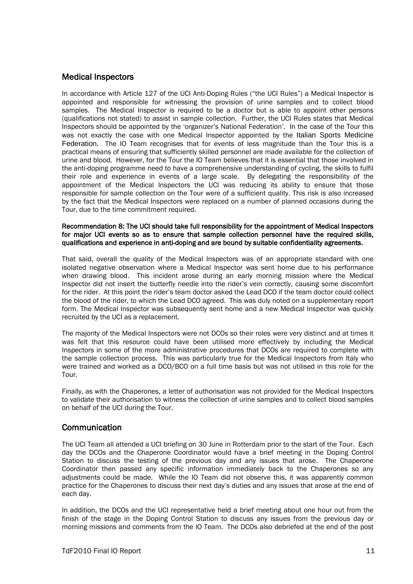## Medical Inspectors

In accordance with Article 127 of the UCI Anti-Doping Rules ("the UCI Rules") a Medical Inspector is appointed and responsible for witnessing the provision of urine samples and to collect blood samples. The Medical Inspector is required to be a doctor but is able to appoint other persons (qualifications not stated) to assist in sample collection. Further, the UCI Rules states that Medical Inspectors should be appointed by the 'organizer's National Federation'. In the case of the Tour this was not exactly the case with one Medical Inspector appointed by the Italian Sports Medicine Federation. The IO Team recognises that for events of less magnitude than the Tour this is a practical means of ensuring that sufficiently skilled personnel are made available for the collection of urine and blood. However, for the Tour the IO Team believes that it is essential that those involved in the anti-doping programme need to have a comprehensive understanding of cycling, the skills to fulfil their role and experience in events of a large scale. By delegating the responsibility of the appointment of the Medical Inspectors the UCI was reducing its ability to ensure that those responsible for sample collection on the Tour were of a sufficient quality. This risk is also increased by the fact that the Medical Inspectors were replaced on a number of planned occasions during the Tour, due to the time commitment required.

#### Recommendation 8: The UCI should take full responsibility for the appointment of Medical Inspectors for major UCI events so as to ensure that sample collection personnel have the required skills, qualifications and experience in anti-doping and are bound by suitable confidentiality agreements.

That said, overall the quality of the Medical Inspectors was of an appropriate standard with one isolated negative observation where a Medical Inspector was sent home due to his performance when drawing blood. This incident arose during an early morning mission where the Medical Inspector did not insert the butterfly needle into the rider's vein correctly, causing some discomfort for the rider. At this point the rider's team doctor asked the Lead DCO if the team doctor could collect the blood of the rider, to which the Lead DCO agreed. This was duly noted on a supplementary report form. The Medical Inspector was subsequently sent home and a new Medical Inspector was quickly recruited by the UCI as a replacement.

The majority of the Medical Inspectors were not DCOs so their roles were very distinct and at times it was felt that this resource could have been utilised more effectively by including the Medical Inspectors in some of the more administrative procedures that DCOs are required to complete with the sample collection process. This was particularly true for the Medical Inspectors from Italy who were trained and worked as a DCO/BCO on a full time basis but was not utilised in this role for the Tour.

Finally, as with the Chaperones, a letter of authorisation was not provided for the Medical Inspectors to validate their authorisation to witness the collection of urine samples and to collect blood samples on behalf of the UCI during the Tour.

### Communication

The UCI Team all attended a UCI briefing on 30 June in Rotterdam prior to the start of the Tour. Each day the DCOs and the Chaperone Coordinator would have a brief meeting in the Doping Control Station to discuss the testing of the previous day and any issues that arose. The Chaperone Coordinator then passed any specific information immediately back to the Chaperones so any adjustments could be made. While the IO Team did not observe this, it was apparently common practice for the Chaperones to discuss their next day's duties and any issues that arose at the end of each day.

In addition, the DCOs and the UCI representative held a brief meeting about one hour out from the finish of the stage in the Doping Control Station to discuss any issues from the previous day or morning missions and comments from the IO Team. The DCOs also debriefed at the end of the post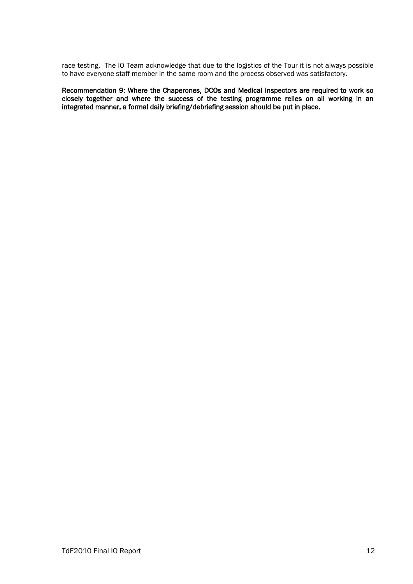race testing. The IO Team acknowledge that due to the logistics of the Tour it is not always possible to have everyone staff member in the same room and the process observed was satisfactory.

Recommendation 9: Where the Chaperones, DCOs and Medical Inspectors are required to work so closely together and where the success of the testing programme relies on all working in an integrated manner, a formal daily briefing/debriefing session should be put in place.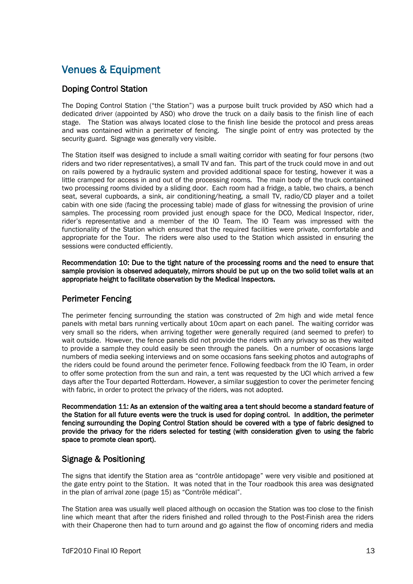## Venues & Equipment

## Doping Control Station

The Doping Control Station ("the Station") was a purpose built truck provided by ASO which had a dedicated driver (appointed by ASO) who drove the truck on a daily basis to the finish line of each stage. The Station was always located close to the finish line beside the protocol and press areas and was contained within a perimeter of fencing. The single point of entry was protected by the security guard. Signage was generally very visible.

The Station itself was designed to include a small waiting corridor with seating for four persons (two riders and two rider representatives), a small TV and fan. This part of the truck could move in and out on rails powered by a hydraulic system and provided additional space for testing, however it was a little cramped for access in and out of the processing rooms. The main body of the truck contained two processing rooms divided by a sliding door. Each room had a fridge, a table, two chairs, a bench seat, several cupboards, a sink, air conditioning/heating, a small TV, radio/CD player and a toilet cabin with one side (facing the processing table) made of glass for witnessing the provision of urine samples. The processing room provided just enough space for the DCO, Medical Inspector, rider, rider's representative and a member of the IO Team. The IO Team was impressed with the functionality of the Station which ensured that the required facilities were private, comfortable and appropriate for the Tour. The riders were also used to the Station which assisted in ensuring the sessions were conducted efficiently.

Recommendation 10: Due to the tight nature of the processing rooms and the need to ensure that sample provision is observed adequately, mirrors should be put up on the two solid toilet walls at an appropriate height to facilitate observation by the Medical Inspectors.

## Perimeter Fencing

The perimeter fencing surrounding the station was constructed of 2m high and wide metal fence panels with metal bars running vertically about 10cm apart on each panel. The waiting corridor was very small so the riders, when arriving together were generally required (and seemed to prefer) to wait outside. However, the fence panels did not provide the riders with any privacy so as they waited to provide a sample they could easily be seen through the panels. On a number of occasions large numbers of media seeking interviews and on some occasions fans seeking photos and autographs of the riders could be found around the perimeter fence. Following feedback from the IO Team, in order to offer some protection from the sun and rain, a tent was requested by the UCI which arrived a few days after the Tour departed Rotterdam. However, a similar suggestion to cover the perimeter fencing with fabric, in order to protect the privacy of the riders, was not adopted.

Recommendation 11: As an extension of the waiting area a tent should become a standard feature of the Station for all future events were the truck is used for doping control. In addition, the perimeter fencing surrounding the Doping Control Station should be covered with a type of fabric designed to provide the privacy for the riders selected for testing (with consideration given to using the fabric space to promote clean sport).

## Signage & Positioning

The signs that identify the Station area as "contrôle antidopage" were very visible and positioned at the gate entry point to the Station. It was noted that in the Tour roadbook this area was designated in the plan of arrival zone (page 15) as "Contrôle médical".

The Station area was usually well placed although on occasion the Station was too close to the finish line which meant that after the riders finished and rolled through to the Post-Finish area the riders with their Chaperone then had to turn around and go against the flow of oncoming riders and media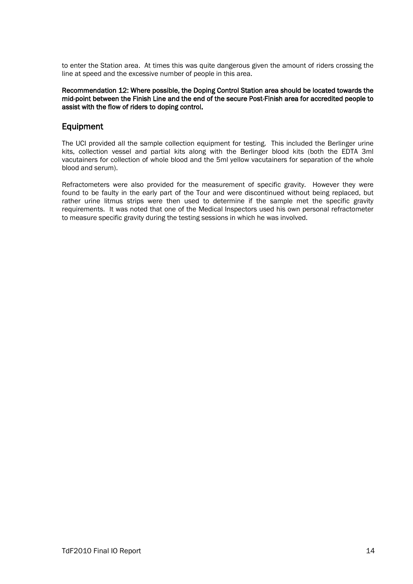to enter the Station area. At times this was quite dangerous given the amount of riders crossing the line at speed and the excessive number of people in this area.

#### Recommendation 12: Where possible, the Doping Control Station area should be located towards the mid-point between the Finish Line and the end of the secure Post-Finish area for accredited people to assist with the flow of riders to doping control.

### Equipment

The UCI provided all the sample collection equipment for testing. This included the Berlinger urine kits, collection vessel and partial kits along with the Berlinger blood kits (both the EDTA 3ml vacutainers for collection of whole blood and the 5ml yellow vacutainers for separation of the whole blood and serum).

Refractometers were also provided for the measurement of specific gravity. However they were found to be faulty in the early part of the Tour and were discontinued without being replaced, but rather urine litmus strips were then used to determine if the sample met the specific gravity requirements. It was noted that one of the Medical Inspectors used his own personal refractometer to measure specific gravity during the testing sessions in which he was involved.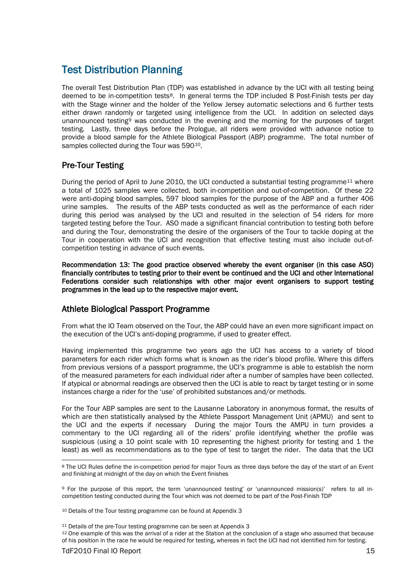## Test Distribution Planning

The overall Test Distribution Plan (TDP) was established in advance by the UCI with all testing being deemed to be in-competition tests<sup>[8](#page-15-0)</sup>. In general terms the TDP included 8 Post-Finish tests per day with the Stage winner and the holder of the Yellow Jersey automatic selections and 6 further tests either drawn randomly or targeted using intelligence from the UCI. In addition on selected days unannounced testing[9](#page-15-1) was conducted in the evening and the morning for the purposes of target testing. Lastly, three days before the Prologue, all riders were provided with advance notice to provide a blood sample for the Athlete Biological Passport (ABP) programme. The total number of samples collected during the Tour was 590 $^{\rm 10}$  $^{\rm 10}$  $^{\rm 10}$ .

## Pre-Tour Testing

During the period of April to June 2010, the UCI conducted a substantial testing programme<sup>[11](#page-15-3)</sup> where a total of 1025 samples were collected, both in-competition and out-of-competition. Of these 22 were anti-doping blood samples, 597 blood samples for the purpose of the ABP and a further 406 urine samples. The results of the ABP tests conducted as well as the performance of each rider during this period was analysed by the UCI and resulted in the selection of 54 riders for more targeted testing before the Tour. ASO made a significant financial contribution to testing both before and during the Tour, demonstrating the desire of the organisers of the Tour to tackle doping at the Tour in cooperation with the UCI and recognition that effective testing must also include out-ofcompetition testing in advance of such events.

Recommendation 13: The good practice observed whereby the event organiser (in this case ASO) financially contributes to testing prior to their event be continued and the UCI and other International Federations consider such relationships with other major event organisers to support testing programmes in the lead up to the respective major event.

## Athlete Biological Passport Programme

From what the IO Team observed on the Tour, the ABP could have an even more significant impact on the execution of the UCI's anti-doping programme, if used to greater effect.

Having implemented this programme two years ago the UCI has access to a variety of blood parameters for each rider which forms what is known as the rider's blood profile. Where this differs from previous versions of a passport programme, the UCI's programme is able to establish the norm of the measured parameters for each individual rider after a number of samples have been collected. If atypical or abnormal readings are observed then the UCI is able to react by target testing or in some instances charge a rider for the 'use' of prohibited substances and/or methods.

For the Tour ABP samples are sent to the Lausanne Laboratory in anonymous format, the results of which are then statistically analysed by the Athlete Passport Management Unit (APMU) and sent to the UCI and the experts if necessary During the major Tours the AMPU in turn provides a commentary to the UCI regarding all of the riders' profile identifying whether the profile was suspicious (using a 10 point scale with 10 representing the highest priority for testing and 1 the least) as well as recommendations as to the type of test to target the rider. The data that the UCI

<span id="page-15-0"></span><sup>8</sup> The UCI Rules define the in-competition period for major Tours as three days before the day of the start of an Event and finishing at midnight of the day on which the Event finishes

<span id="page-15-1"></span><sup>9</sup> For the purpose of this report, the term 'unannounced testing' or 'unannounced mission(s)' refers to all incompetition testing conducted during the Tour which was not deemed to be part of the Post-Finish TDP

<span id="page-15-2"></span><sup>10</sup> Details of the Tour testing programme can be found at Appendix 3

<sup>&</sup>lt;sup>11</sup> Details of the pre-Tour testing programme can be seen at Appendix 3

<span id="page-15-3"></span><sup>12</sup> One example of this was the arrival of a rider at the Station at the conclusion of a stage who assumed that because of his position in the race he would be required for testing, whereas in fact the UCI had not identified him for testing.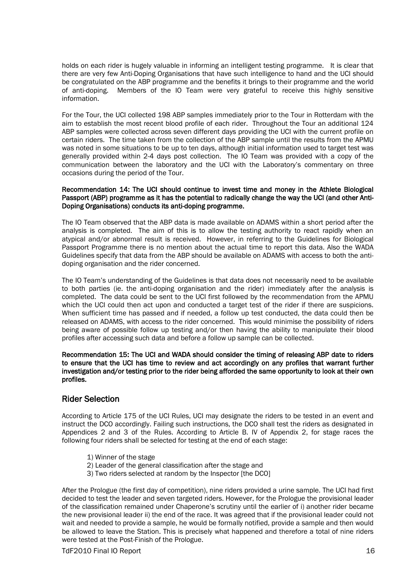holds on each rider is hugely valuable in informing an intelligent testing programme. It is clear that there are very few Anti-Doping Organisations that have such intelligence to hand and the UCI should be congratulated on the ABP programme and the benefits it brings to their programme and the world of anti-doping. Members of the IO Team were very grateful to receive this highly sensitive information.

For the Tour, the UCI collected 198 ABP samples immediately prior to the Tour in Rotterdam with the aim to establish the most recent blood profile of each rider. Throughout the Tour an additional 124 ABP samples were collected across seven different days providing the UCI with the current profile on certain riders. The time taken from the collection of the ABP sample until the results from the APMU was noted in some situations to be up to ten days, although initial information used to target test was generally provided within 2-4 days post collection. The IO Team was provided with a copy of the communication between the laboratory and the UCI with the Laboratory's commentary on three occasions during the period of the Tour.

#### Recommendation 14: The UCI should continue to invest time and money in the Athlete Biological Passport (ABP) programme as it has the potential to radically change the way the UCI (and other Anti-Doping Organisations) conducts its anti-doping programme.

The IO Team observed that the ABP data is made available on ADAMS within a short period after the analysis is completed. The aim of this is to allow the testing authority to react rapidly when an atypical and/or abnormal result is received. However, in referring to the Guidelines for Biological Passport Programme there is no mention about the actual time to report this data. Also the WADA Guidelines specify that data from the ABP should be available on ADAMS with access to both the antidoping organisation and the rider concerned.

The IO Team's understanding of the Guidelines is that data does not necessarily need to be available to both parties (ie. the anti-doping organisation and the rider) immediately after the analysis is completed. The data could be sent to the UCI first followed by the recommendation from the APMU which the UCI could then act upon and conducted a target test of the rider if there are suspicions. When sufficient time has passed and if needed, a follow up test conducted, the data could then be released on ADAMS, with access to the rider concerned. This would minimise the possibility of riders being aware of possible follow up testing and/or then having the ability to manipulate their blood profiles after accessing such data and before a follow up sample can be collected.

Recommendation 15: The UCI and WADA should consider the timing of releasing ABP date to riders to ensure that the UCI has time to review and act accordingly on any profiles that warrant further investigation and/or testing prior to the rider being afforded the same opportunity to look at their own profiles.

## Rider Selection

According to Article 175 of the UCI Rules, UCI may designate the riders to be tested in an event and instruct the DCO accordingly. Failing such instructions, the DCO shall test the riders as designated in Appendices 2 and 3 of the Rules. According to Article B. IV of Appendix 2, for stage races the following four riders shall be selected for testing at the end of each stage:

- 1) Winner of the stage
- 2) Leader of the general classification after the stage and
- 3) Two riders selected at random by the Inspector [the DCO]

After the Prologue (the first day of competition), nine riders provided a urine sample. The UCI had first decided to test the leader and seven targeted riders. However, for the Prologue the provisional leader of the classification remained under Chaperone's scrutiny until the earlier of i) another rider became the new provisional leader ii) the end of the race. It was agreed that if the provisional leader could not wait and needed to provide a sample, he would be formally notified, provide a sample and then would be allowed to leave the Station. This is precisely what happened and therefore a total of nine riders were tested at the Post-Finish of the Prologue.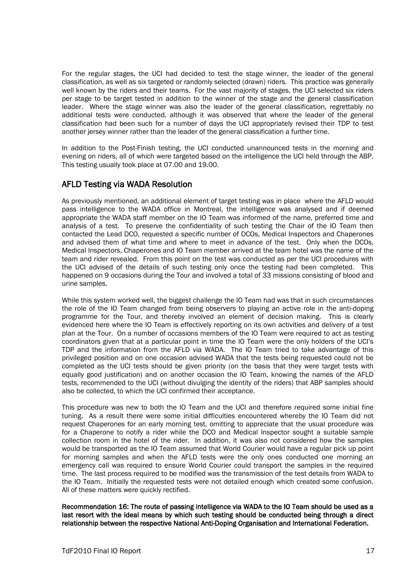For the regular stages, the UCI had decided to test the stage winner, the leader of the general classification, as well as six targeted or randomly selected (drawn) riders. This practice was generally well known by the riders and their teams. For the vast majority of stages, the UCI selected six riders per stage to be target tested in addition to the winner of the stage and the general classification leader. Where the stage winner was also the leader of the general classification, regrettably no additional tests were conducted, although it was observed that where the leader of the general classification had been such for a number of days the UCI appropriately revised their TDP to test another jersey winner rather than the leader of the general classification a further time.

In addition to the Post-Finish testing, the UCI conducted unannounced tests in the morning and evening on riders, all of which were targeted based on the intelligence the UCI held through the ABP. This testing usually took place at 07.00 and 19.00.

## AFLD Testing via WADA Resolution

As previously mentioned, an additional element of target testing was in place where the AFLD would pass intelligence to the WADA office in Montreal, the intelligence was analysed and if deemed appropriate the WADA staff member on the IO Team was informed of the name, preferred time and analysis of a test. To preserve the confidentiality of such testing the Chair of the IO Team then contacted the Lead DCO, requested a specific number of DCOs, Medical Inspectors and Chaperones and advised them of what time and where to meet in advance of the test. Only when the DCOs, Medical Inspectors, Chaperones and IO Team member arrived at the team hotel was the name of the team and rider revealed. From this point on the test was conducted as per the UCI procedures with the UCI advised of the details of such testing only once the testing had been completed. This happened on 9 occasions during the Tour and involved a total of 33 missions consisting of blood and urine samples.

While this system worked well, the biggest challenge the IO Team had was that in such circumstances the role of the IO Team changed from being observers to playing an active role in the anti-doping programme for the Tour, and thereby involved an element of decision making. This is clearly evidenced here where the IO Team is effectively reporting on its own activities and delivery of a test plan at the Tour. On a number of occasions members of the IO Team were required to act as testing coordinators given that at a particular point in time the IO Team were the only holders of the UCI's TDP and the information from the AFLD via WADA. The IO Team tried to take advantage of this privileged position and on one occasion advised WADA that the tests being requested could not be completed as the UCI tests should be given priority (on the basis that they were target tests with equally good justification) and on another occasion the IO Team, knowing the names of the AFLD tests, recommended to the UCI (without divulging the identity of the riders) that ABP samples should also be collected, to which the UCI confirmed their acceptance.

This procedure was new to both the IO Team and the UCI and therefore required some initial fine tuning. As a result there were some initial difficulties encountered whereby the IO Team did not request Chaperones for an early morning test, omitting to appreciate that the usual procedure was for a Chaperone to notify a rider while the DCO and Medical Inspector sought a suitable sample collection room in the hotel of the rider. In addition, it was also not considered how the samples would be transported as the IO Team assumed that World Courier would have a regular pick up point for morning samples and when the AFLD tests were the only ones conducted one morning an emergency call was required to ensure World Courier could transport the samples in the required time. The last process required to be modified was the transmission of the test details from WADA to the IO Team. Initially the requested tests were not detailed enough which created some confusion. All of these matters were quickly rectified.

Recommendation 16: The route of passing intelligence via WADA to the IO Team should be used as a last resort with the ideal means by which such testing should be conducted being through a direct relationship between the respective National Anti-Doping Organisation and International Federation.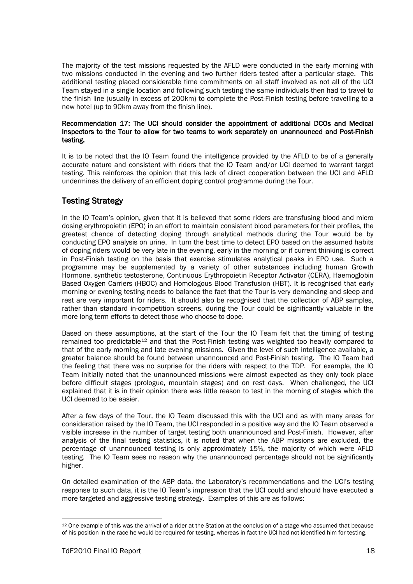The majority of the test missions requested by the AFLD were conducted in the early morning with two missions conducted in the evening and two further riders tested after a particular stage. This additional testing placed considerable time commitments on all staff involved as not all of the UCI Team stayed in a single location and following such testing the same individuals then had to travel to the finish line (usually in excess of 200km) to complete the Post-Finish testing before travelling to a new hotel (up to 90km away from the finish line).

#### Recommendation 17: The UCI should consider the appointment of additional DCOs and Medical Inspectors to the Tour to allow for two teams to work separately on unannounced and Post-Finish testing.

It is to be noted that the IO Team found the intelligence provided by the AFLD to be of a generally accurate nature and consistent with riders that the IO Team and/or UCI deemed to warrant target testing. This reinforces the opinion that this lack of direct cooperation between the UCI and AFLD undermines the delivery of an efficient doping control programme during the Tour.

## Testing Strategy

In the IO Team's opinion, given that it is believed that some riders are transfusing blood and micro dosing erythropoietin (EPO) in an effort to maintain consistent blood parameters for their profiles, the greatest chance of detecting doping through analytical methods during the Tour would be by conducting EPO analysis on urine. In turn the best time to detect EPO based on the assumed habits of doping riders would be very late in the evening, early in the morning or if current thinking is correct in Post-Finish testing on the basis that exercise stimulates analytical peaks in EPO use. Such a programme may be supplemented by a variety of other substances including human Growth Hormone, synthetic testosterone, Continuous Erythropoietin Receptor Activator (CERA), Haemoglobin Based Oxygen Carriers (HBOC) and Homologous Blood Transfusion (HBT). It is recognised that early morning or evening testing needs to balance the fact that the Tour is very demanding and sleep and rest are very important for riders. It should also be recognised that the collection of ABP samples, rather than standard in-competition screens, during the Tour could be significantly valuable in the more long term efforts to detect those who choose to dope.

Based on these assumptions, at the start of the Tour the IO Team felt that the timing of testing remained too predictable<sup>[12](#page-18-0)</sup> and that the Post-Finish testing was weighted too heavily compared to that of the early morning and late evening missions. Given the level of such intelligence available, a greater balance should be found between unannounced and Post-Finish testing. The IO Team had the feeling that there was no surprise for the riders with respect to the TDP. For example, the IO Team initially noted that the unannounced missions were almost expected as they only took place before difficult stages (prologue, mountain stages) and on rest days. When challenged, the UCI explained that it is in their opinion there was little reason to test in the morning of stages which the UCI deemed to be easier.

After a few days of the Tour, the IO Team discussed this with the UCI and as with many areas for consideration raised by the IO Team, the UCI responded in a positive way and the IO Team observed a visible increase in the number of target testing both unannounced and Post-Finish. However, after analysis of the final testing statistics, it is noted that when the ABP missions are excluded, the percentage of unannounced testing is only approximately 15%, the majority of which were AFLD testing. The IO Team sees no reason why the unannounced percentage should not be significantly higher.

On detailed examination of the ABP data, the Laboratory's recommendations and the UCI's testing response to such data, it is the IO Team's impression that the UCI could and should have executed a more targeted and aggressive testing strategy. Examples of this are as follows:

<span id="page-18-0"></span><sup>&</sup>lt;sup>12</sup> One example of this was the arrival of a rider at the Station at the conclusion of a stage who assumed that because of his position in the race he would be required for testing, whereas in fact the UCI had not identified him for testing.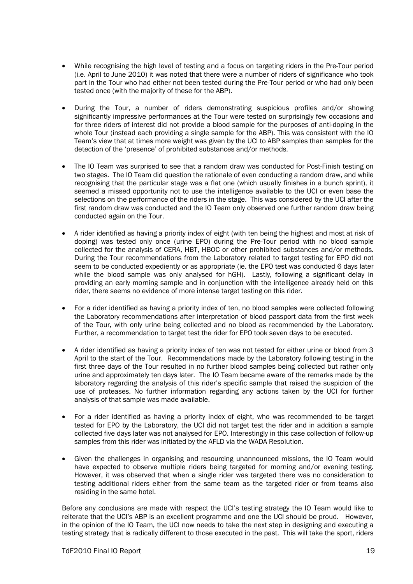- While recognising the high level of testing and a focus on targeting riders in the Pre-Tour period (i.e. April to June 2010) it was noted that there were a number of riders of significance who took part in the Tour who had either not been tested during the Pre-Tour period or who had only been tested once (with the majority of these for the ABP).
- During the Tour, a number of riders demonstrating suspicious profiles and/or showing significantly impressive performances at the Tour were tested on surprisingly few occasions and for three riders of interest did not provide a blood sample for the purposes of anti-doping in the whole Tour (instead each providing a single sample for the ABP). This was consistent with the IO Team's view that at times more weight was given by the UCI to ABP samples than samples for the detection of the 'presence' of prohibited substances and/or methods.
- The IO Team was surprised to see that a random draw was conducted for Post-Finish testing on two stages. The IO Team did question the rationale of even conducting a random draw, and while recognising that the particular stage was a flat one (which usually finishes in a bunch sprint), it seemed a missed opportunity not to use the intelligence available to the UCI or even base the selections on the performance of the riders in the stage. This was considered by the UCI after the first random draw was conducted and the IO Team only observed one further random draw being conducted again on the Tour.
- A rider identified as having a priority index of eight (with ten being the highest and most at risk of doping) was tested only once (urine EPO) during the Pre-Tour period with no blood sample collected for the analysis of CERA, HBT, HBOC or other prohibited substances and/or methods. During the Tour recommendations from the Laboratory related to target testing for EPO did not seem to be conducted expediently or as appropriate (ie. the EPO test was conducted 6 days later while the blood sample was only analysed for hGH). Lastly, following a significant delay in providing an early morning sample and in conjunction with the intelligence already held on this rider, there seems no evidence of more intense target testing on this rider.
- For a rider identified as having a priority index of ten, no blood samples were collected following the Laboratory recommendations after interpretation of blood passport data from the first week of the Tour, with only urine being collected and no blood as recommended by the Laboratory. Further, a recommendation to target test the rider for EPO took seven days to be executed.
- A rider identified as having a priority index of ten was not tested for either urine or blood from 3 April to the start of the Tour. Recommendations made by the Laboratory following testing in the first three days of the Tour resulted in no further blood samples being collected but rather only urine and approximately ten days later. The IO Team became aware of the remarks made by the laboratory regarding the analysis of this rider's specific sample that raised the suspicion of the use of proteases. No further information regarding any actions taken by the UCI for further analysis of that sample was made available.
- For a rider identified as having a priority index of eight, who was recommended to be target tested for EPO by the Laboratory, the UCI did not target test the rider and in addition a sample collected five days later was not analysed for EPO. Interestingly in this case collection of follow-up samples from this rider was initiated by the AFLD via the WADA Resolution.
- Given the challenges in organising and resourcing unannounced missions, the IO Team would have expected to observe multiple riders being targeted for morning and/or evening testing. However, it was observed that when a single rider was targeted there was no consideration to testing additional riders either from the same team as the targeted rider or from teams also residing in the same hotel.

Before any conclusions are made with respect the UCI's testing strategy the IO Team would like to reiterate that the UCI's ABP is an excellent programme and one the UCI should be proud. However, in the opinion of the IO Team, the UCI now needs to take the next step in designing and executing a testing strategy that is radically different to those executed in the past. This will take the sport, riders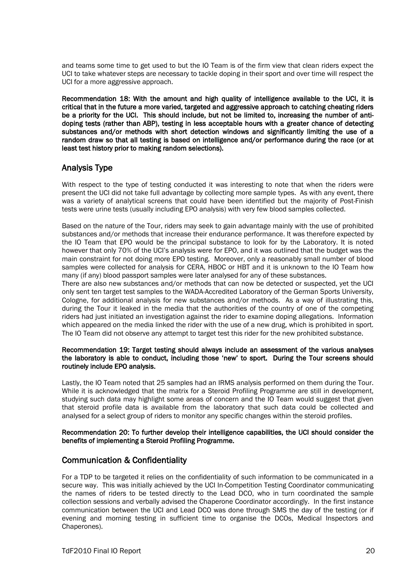and teams some time to get used to but the IO Team is of the firm view that clean riders expect the UCI to take whatever steps are necessary to tackle doping in their sport and over time will respect the UCI for a more aggressive approach.

Recommendation 18: With the amount and high quality of intelligence available to the UCI, it is critical that in the future a more varied, targeted and aggressive approach to catching cheating riders be a priority for the UCI. This should include, but not be limited to, increasing the number of antidoping tests (rather than ABP), testing in less acceptable hours with a greater chance of detecting substances and/or methods with short detection windows and significantly limiting the use of a random draw so that all testing is based on intelligence and/or performance during the race (or at least test history prior to making random selections).

## Analysis Type

With respect to the type of testing conducted it was interesting to note that when the riders were present the UCI did not take full advantage by collecting more sample types. As with any event, there was a variety of analytical screens that could have been identified but the majority of Post-Finish tests were urine tests (usually including EPO analysis) with very few blood samples collected.

Based on the nature of the Tour, riders may seek to gain advantage mainly with the use of prohibited substances and/or methods that increase their endurance performance. It was therefore expected by the IO Team that EPO would be the principal substance to look for by the Laboratory. It is noted however that only 70% of the UCI's analysis were for EPO, and it was outlined that the budget was the main constraint for not doing more EPO testing. Moreover, only a reasonably small number of blood samples were collected for analysis for CERA, HBOC or HBT and it is unknown to the IO Team how many (if any) blood passport samples were later analysed for any of these substances.

There are also new substances and/or methods that can now be detected or suspected, yet the UCI only sent ten target test samples to the WADA-Accredited Laboratory of the German Sports University, Cologne, for additional analysis for new substances and/or methods. As a way of illustrating this, during the Tour it leaked in the media that the authorities of the country of one of the competing riders had just initiated an investigation against the rider to examine doping allegations. Information which appeared on the media linked the rider with the use of a new drug, which is prohibited in sport. The IO Team did not observe any attempt to target test this rider for the new prohibited substance.

#### Recommendation 19: Target testing should always include an assessment of the various analyses the laboratory is able to conduct, including those 'new' to sport. During the Tour screens should routinely include EPO analysis.

Lastly, the IO Team noted that 25 samples had an IRMS analysis performed on them during the Tour. While it is acknowledged that the matrix for a Steroid Profiling Programme are still in development, studying such data may highlight some areas of concern and the IO Team would suggest that given that steroid profile data is available from the laboratory that such data could be collected and analysed for a select group of riders to monitor any specific changes within the steroid profiles.

#### Recommendation 20: To further develop their intelligence capabilities, the UCI should consider the benefits of implementing a Steroid Profiling Programme.

## Communication & Confidentiality

For a TDP to be targeted it relies on the confidentiality of such information to be communicated in a secure way. This was initially achieved by the UCI In-Competition Testing Coordinator communicating the names of riders to be tested directly to the Lead DCO, who in turn coordinated the sample collection sessions and verbally advised the Chaperone Coordinator accordingly. In the first instance communication between the UCI and Lead DCO was done through SMS the day of the testing (or if evening and morning testing in sufficient time to organise the DCOs, Medical Inspectors and Chaperones).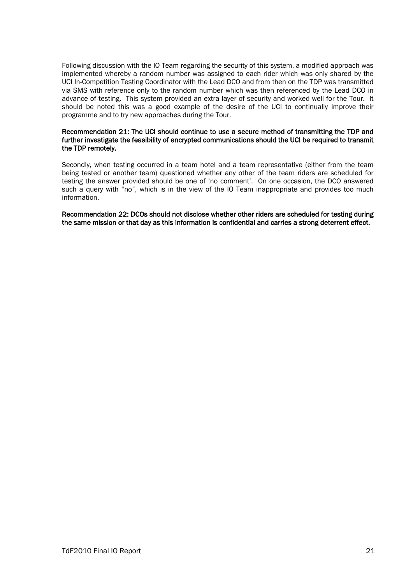Following discussion with the IO Team regarding the security of this system, a modified approach was implemented whereby a random number was assigned to each rider which was only shared by the UCI In-Competition Testing Coordinator with the Lead DCO and from then on the TDP was transmitted via SMS with reference only to the random number which was then referenced by the Lead DCO in advance of testing. This system provided an extra layer of security and worked well for the Tour. It should be noted this was a good example of the desire of the UCI to continually improve their programme and to try new approaches during the Tour.

#### Recommendation 21: The UCI should continue to use a secure method of transmitting the TDP and further investigate the feasibility of encrypted communications should the UCI be required to transmit the TDP remotely.

Secondly, when testing occurred in a team hotel and a team representative (either from the team being tested or another team) questioned whether any other of the team riders are scheduled for testing the answer provided should be one of 'no comment'. On one occasion, the DCO answered such a query with "no", which is in the view of the IO Team inappropriate and provides too much information.

Recommendation 22: DCOs should not disclose whether other riders are scheduled for testing during the same mission or that day as this information is confidential and carries a strong deterrent effect.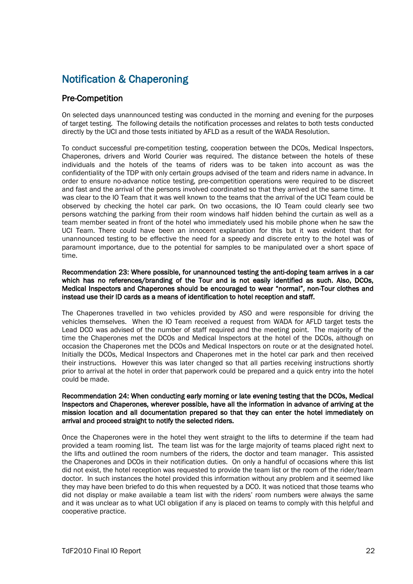## Notification & Chaperoning

## Pre-Competition

On selected days unannounced testing was conducted in the morning and evening for the purposes of target testing. The following details the notification processes and relates to both tests conducted directly by the UCI and those tests initiated by AFLD as a result of the WADA Resolution.

To conduct successful pre-competition testing, cooperation between the DCOs, Medical Inspectors, Chaperones, drivers and World Courier was required. The distance between the hotels of these individuals and the hotels of the teams of riders was to be taken into account as was the confidentiality of the TDP with only certain groups advised of the team and riders name in advance. In order to ensure no-advance notice testing, pre-competition operations were required to be discreet and fast and the arrival of the persons involved coordinated so that they arrived at the same time. It was clear to the IO Team that it was well known to the teams that the arrival of the UCI Team could be observed by checking the hotel car park. On two occasions, the IO Team could clearly see two persons watching the parking from their room windows half hidden behind the curtain as well as a team member seated in front of the hotel who immediately used his mobile phone when he saw the UCI Team. There could have been an innocent explanation for this but it was evident that for unannounced testing to be effective the need for a speedy and discrete entry to the hotel was of paramount importance, due to the potential for samples to be manipulated over a short space of time.

Recommendation 23: Where possible, for unannounced testing the anti-doping team arrives in a car which has no references/branding of the Tour and is not easily identified as such. Also, DCOs, Medical Inspectors and Chaperones should be encouraged to wear "normal", non-Tour clothes and instead use their ID cards as a means of identification to hotel reception and staff.

The Chaperones travelled in two vehicles provided by ASO and were responsible for driving the vehicles themselves. When the IO Team received a request from WADA for AFLD target tests the Lead DCO was advised of the number of staff required and the meeting point. The majority of the time the Chaperones met the DCOs and Medical Inspectors at the hotel of the DCOs, although on occasion the Chaperones met the DCOs and Medical Inspectors on route or at the designated hotel. Initially the DCOs, Medical Inspectors and Chaperones met in the hotel car park and then received their instructions. However this was later changed so that all parties receiving instructions shortly prior to arrival at the hotel in order that paperwork could be prepared and a quick entry into the hotel could be made.

#### Recommendation 24: When conducting early morning or late evening testing that the DCOs, Medical Inspectors and Chaperones, wherever possible, have all the information in advance of arriving at the mission location and all documentation prepared so that they can enter the hotel immediately on arrival and proceed straight to notify the selected riders.

Once the Chaperones were in the hotel they went straight to the lifts to determine if the team had provided a team rooming list. The team list was for the large majority of teams placed right next to the lifts and outlined the room numbers of the riders, the doctor and team manager. This assisted the Chaperones and DCOs in their notification duties. On only a handful of occasions where this list did not exist, the hotel reception was requested to provide the team list or the room of the rider/team doctor. In such instances the hotel provided this information without any problem and it seemed like they may have been briefed to do this when requested by a DCO. It was noticed that those teams who did not display or make available a team list with the riders' room numbers were always the same and it was unclear as to what UCI obligation if any is placed on teams to comply with this helpful and cooperative practice.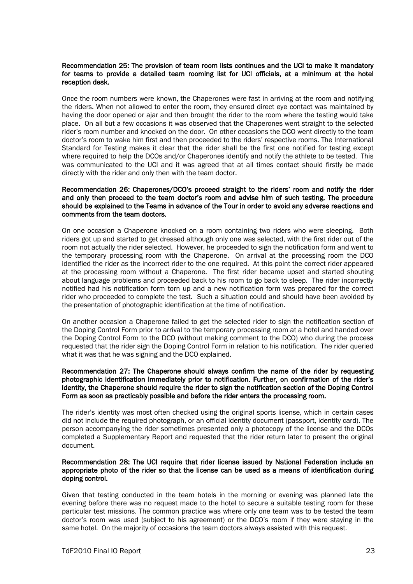#### Recommendation 25: The provision of team room lists continues and the UCI to make it mandatory for teams to provide a detailed team rooming list for UCI officials, at a minimum at the hotel reception desk.

Once the room numbers were known, the Chaperones were fast in arriving at the room and notifying the riders. When not allowed to enter the room, they ensured direct eye contact was maintained by having the door opened or ajar and then brought the rider to the room where the testing would take place. On all but a few occasions it was observed that the Chaperones went straight to the selected rider's room number and knocked on the door. On other occasions the DCO went directly to the team doctor's room to wake him first and then proceeded to the riders' respective rooms. The International Standard for Testing makes it clear that the rider shall be the first one notified for testing except where required to help the DCOs and/or Chaperones identify and notify the athlete to be tested. This was communicated to the UCI and it was agreed that at all times contact should firstly be made directly with the rider and only then with the team doctor.

#### Recommendation 26: Chaperones/DCO's proceed straight to the riders' room and notify the rider and only then proceed to the team doctor's room and advise him of such testing. The procedure should be explained to the Teams in advance of the Tour in order to avoid any adverse reactions and comments from the team doctors.

On one occasion a Chaperone knocked on a room containing two riders who were sleeping. Both riders got up and started to get dressed although only one was selected, with the first rider out of the room not actually the rider selected. However, he proceeded to sign the notification form and went to the temporary processing room with the Chaperone. On arrival at the processing room the DCO identified the rider as the incorrect rider to the one required. At this point the correct rider appeared at the processing room without a Chaperone. The first rider became upset and started shouting about language problems and proceeded back to his room to go back to sleep. The rider incorrectly notified had his notification form torn up and a new notification form was prepared for the correct rider who proceeded to complete the test. Such a situation could and should have been avoided by the presentation of photographic identification at the time of notification.

On another occasion a Chaperone failed to get the selected rider to sign the notification section of the Doping Control Form prior to arrival to the temporary processing room at a hotel and handed over the Doping Control Form to the DCO (without making comment to the DCO) who during the process requested that the rider sign the Doping Control Form in relation to his notification. The rider queried what it was that he was signing and the DCO explained.

#### Recommendation 27: The Chaperone should always confirm the name of the rider by requesting photographic identification immediately prior to notification. Further, on confirmation of the rider's identity, the Chaperone should require the rider to sign the notification section of the Doping Control Form as soon as practicably possible and before the rider enters the processing room.

The rider's identity was most often checked using the original sports license, which in certain cases did not include the required photograph, or an official identity document (passport, identity card). The person accompanying the rider sometimes presented only a photocopy of the license and the DCOs completed a Supplementary Report and requested that the rider return later to present the original document.

#### Recommendation 28: The UCI require that rider license issued by National Federation include an appropriate photo of the rider so that the license can be used as a means of identification during doping control.

Given that testing conducted in the team hotels in the morning or evening was planned late the evening before there was no request made to the hotel to secure a suitable testing room for these particular test missions. The common practice was where only one team was to be tested the team doctor's room was used (subject to his agreement) or the DCO's room if they were staying in the same hotel. On the majority of occasions the team doctors always assisted with this request.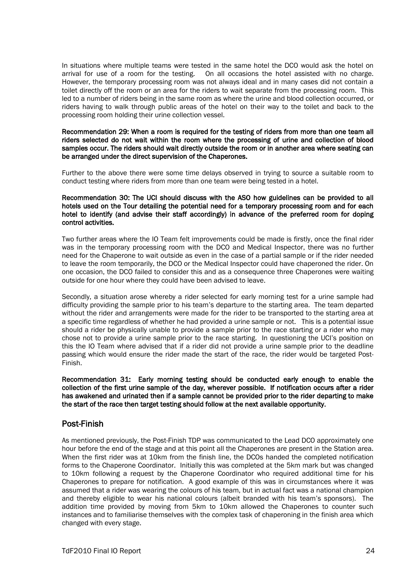In situations where multiple teams were tested in the same hotel the DCO would ask the hotel on arrival for use of a room for the testing. On all occasions the hotel assisted with no charge. On all occasions the hotel assisted with no charge. However, the temporary processing room was not always ideal and in many cases did not contain a toilet directly off the room or an area for the riders to wait separate from the processing room. This led to a number of riders being in the same room as where the urine and blood collection occurred, or riders having to walk through public areas of the hotel on their way to the toilet and back to the processing room holding their urine collection vessel.

#### Recommendation 29: When a room is required for the testing of riders from more than one team all riders selected do not wait within the room where the processing of urine and collection of blood samples occur. The riders should wait directly outside the room or in another area where seating can be arranged under the direct supervision of the Chaperones.

Further to the above there were some time delays observed in trying to source a suitable room to conduct testing where riders from more than one team were being tested in a hotel.

#### Recommendation 30: The UCI should discuss with the ASO how guidelines can be provided to all hotels used on the Tour detailing the potential need for a temporary processing room and for each hotel to identify (and advise their staff accordingly) in advance of the preferred room for doping control activities.

Two further areas where the IO Team felt improvements could be made is firstly, once the final rider was in the temporary processing room with the DCO and Medical Inspector, there was no further need for the Chaperone to wait outside as even in the case of a partial sample or if the rider needed to leave the room temporarily, the DCO or the Medical Inspector could have chaperoned the rider. On one occasion, the DCO failed to consider this and as a consequence three Chaperones were waiting outside for one hour where they could have been advised to leave.

Secondly, a situation arose whereby a rider selected for early morning test for a urine sample had difficulty providing the sample prior to his team's departure to the starting area. The team departed without the rider and arrangements were made for the rider to be transported to the starting area at a specific time regardless of whether he had provided a urine sample or not. This is a potential issue should a rider be physically unable to provide a sample prior to the race starting or a rider who may chose not to provide a urine sample prior to the race starting. In questioning the UCI's position on this the IO Team where advised that if a rider did not provide a urine sample prior to the deadline passing which would ensure the rider made the start of the race, the rider would be targeted Post-Finish.

Recommendation 31: Early morning testing should be conducted early enough to enable the collection of the first urine sample of the day, wherever possible. If notification occurs after a rider has awakened and urinated then if a sample cannot be provided prior to the rider departing to make the start of the race then target testing should follow at the next available opportunity.

## Post-Finish

As mentioned previously, the Post-Finish TDP was communicated to the Lead DCO approximately one hour before the end of the stage and at this point all the Chaperones are present in the Station area. When the first rider was at 10km from the finish line, the DCOs handed the completed notification forms to the Chaperone Coordinator. Initially this was completed at the 5km mark but was changed to 10km following a request by the Chaperone Coordinator who required additional time for his Chaperones to prepare for notification. A good example of this was in circumstances where it was assumed that a rider was wearing the colours of his team, but in actual fact was a national champion and thereby eligible to wear his national colours (albeit branded with his team's sponsors). The addition time provided by moving from 5km to 10km allowed the Chaperones to counter such instances and to familiarise themselves with the complex task of chaperoning in the finish area which changed with every stage.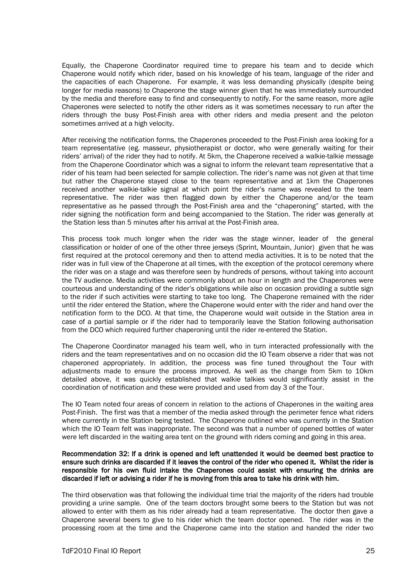Equally, the Chaperone Coordinator required time to prepare his team and to decide which Chaperone would notify which rider, based on his knowledge of his team, language of the rider and the capacities of each Chaperone. For example, it was less demanding physically (despite being longer for media reasons) to Chaperone the stage winner given that he was immediately surrounded by the media and therefore easy to find and consequently to notify. For the same reason, more agile Chaperones were selected to notify the other riders as it was sometimes necessary to run after the riders through the busy Post-Finish area with other riders and media present and the peloton sometimes arrived at a high velocity.

After receiving the notification forms, the Chaperones proceeded to the Post-Finish area looking for a team representative (eg. masseur, physiotherapist or doctor, who were generally waiting for their riders' arrival) of the rider they had to notify. At 5km, the Chaperone received a walkie-talkie message from the Chaperone Coordinator which was a signal to inform the relevant team representative that a rider of his team had been selected for sample collection. The rider's name was not given at that time but rather the Chaperone stayed close to the team representative and at 1km the Chaperones received another walkie-talkie signal at which point the rider's name was revealed to the team representative. The rider was then flagged down by either the Chaperone and/or the team representative as he passed through the Post-Finish area and the "chaperoning" started, with the rider signing the notification form and being accompanied to the Station. The rider was generally at the Station less than 5 minutes after his arrival at the Post-Finish area.

This process took much longer when the rider was the stage winner, leader of the general classification or holder of one of the other three jerseys (Sprint, Mountain, Junior) given that he was first required at the protocol ceremony and then to attend media activities. It is to be noted that the rider was in full view of the Chaperone at all times, with the exception of the protocol ceremony where the rider was on a stage and was therefore seen by hundreds of persons, without taking into account the TV audience. Media activities were commonly about an hour in length and the Chaperones were courteous and understanding of the rider's obligations while also on occasion providing a subtle sign to the rider if such activities were starting to take too long. The Chaperone remained with the rider until the rider entered the Station, where the Chaperone would enter with the rider and hand over the notification form to the DCO. At that time, the Chaperone would wait outside in the Station area in case of a partial sample or if the rider had to temporarily leave the Station following authorisation from the DCO which required further chaperoning until the rider re-entered the Station.

The Chaperone Coordinator managed his team well, who in turn interacted professionally with the riders and the team representatives and on no occasion did the IO Team observe a rider that was not chaperoned appropriately. In addition, the process was fine tuned throughout the Tour with adjustments made to ensure the process improved. As well as the change from 5km to 10km detailed above, it was quickly established that walkie talkies would significantly assist in the coordination of notification and these were provided and used from day 3 of the Tour.

The IO Team noted four areas of concern in relation to the actions of Chaperones in the waiting area Post-Finish. The first was that a member of the media asked through the perimeter fence what riders where currently in the Station being tested. The Chaperone outlined who was currently in the Station which the IO Team felt was inappropriate. The second was that a number of opened bottles of water were left discarded in the waiting area tent on the ground with riders coming and going in this area.

#### Recommendation 32: If a drink is opened and left unattended it would be deemed best practice to ensure such drinks are discarded if it leaves the control of the rider who opened it. Whilst the rider is responsible for his own fluid intake the Chaperones could assist with ensuring the drinks are discarded if left or advising a rider if he is moving from this area to take his drink with him.

The third observation was that following the individual time trial the majority of the riders had trouble providing a urine sample. One of the team doctors brought some beers to the Station but was not allowed to enter with them as his rider already had a team representative. The doctor then gave a Chaperone several beers to give to his rider which the team doctor opened. The rider was in the processing room at the time and the Chaperone came into the station and handed the rider two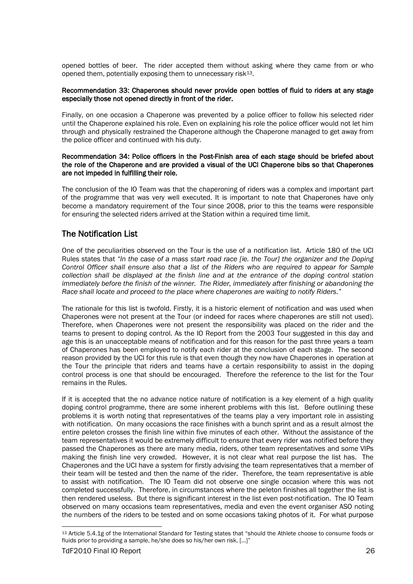opened bottles of beer. The rider accepted them without asking where they came from or who opened them, potentially exposing them to unnecessary risk<sup>[13](#page-26-0)</sup>.

#### Recommendation 33: Chaperones should never provide open bottles of fluid to riders at any stage especially those not opened directly in front of the rider.

Finally, on one occasion a Chaperone was prevented by a police officer to follow his selected rider until the Chaperone explained his role. Even on explaining his role the police officer would not let him through and physically restrained the Chaperone although the Chaperone managed to get away from the police officer and continued with his duty.

#### Recommendation 34: Police officers in the Post-Finish area of each stage should be briefed about the role of the Chaperone and are provided a visual of the UCI Chaperone bibs so that Chaperones are not impeded in fulfilling their role.

The conclusion of the IO Team was that the chaperoning of riders was a complex and important part of the programme that was very well executed. It is important to note that Chaperones have only become a mandatory requirement of the Tour since 2008, prior to this the teams were responsible for ensuring the selected riders arrived at the Station within a required time limit.

### The Notification List

One of the peculiarities observed on the Tour is the use of a notification list. Article 180 of the UCI Rules states that *"In the case of a mass start road race [ie. the Tour] the organizer and the Doping Control Officer shall ensure also that a list of the Riders who are required to appear for Sample collection shall be displayed at the finish line and at the entrance of the doping control station immediately before the finish of the winner. The Rider, immediately after finishing or abandoning the Race shall locate and proceed to the place where chaperones are waiting to notify Riders."*

The rationale for this list is twofold. Firstly, it is a historic element of notification and was used when Chaperones were not present at the Tour (or indeed for races where chaperones are still not used). Therefore, when Chaperones were not present the responsibility was placed on the rider and the teams to present to doping control. As the IO Report from the 2003 Tour suggested in this day and age this is an unacceptable means of notification and for this reason for the past three years a team of Chaperones has been employed to notify each rider at the conclusion of each stage. The second reason provided by the UCI for this rule is that even though they now have Chaperones in operation at the Tour the principle that riders and teams have a certain responsibility to assist in the doping control process is one that should be encouraged. Therefore the reference to the list for the Tour remains in the Rules.

If it is accepted that the no advance notice nature of notification is a key element of a high quality doping control programme, there are some inherent problems with this list. Before outlining these problems it is worth noting that representatives of the teams play a very important role in assisting with notification. On many occasions the race finishes with a bunch sprint and as a result almost the entire peleton crosses the finish line within five minutes of each other. Without the assistance of the team representatives it would be extremely difficult to ensure that every rider was notified before they passed the Chaperones as there are many media, riders, other team representatives and some VIPs making the finish line very crowded. However, it is not clear what real purpose the list has. The Chaperones and the UCI have a system for firstly advising the team representatives that a member of their team will be tested and then the name of the rider. Therefore, the team representative is able to assist with notification. The IO Team did not observe one single occasion where this was not completed successfully. Therefore, in circumstances where the peleton finishes all together the list is then rendered useless. But there is significant interest in the list even post-notification. The IO Team observed on many occasions team representatives, media and even the event organiser ASO noting the numbers of the riders to be tested and on some occasions taking photos of it. For what purpose

<span id="page-26-0"></span> <sup>13</sup> Article 5.4.1g of the International Standard for Testing states that "should the Athlete choose to consume foods or fluids prior to providing a sample, he/she does so his/her own risk, [...]"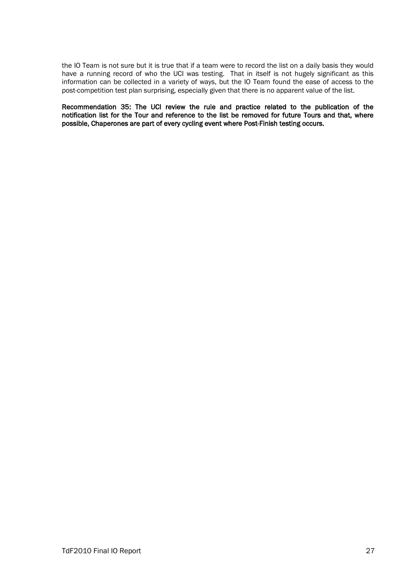the IO Team is not sure but it is true that if a team were to record the list on a daily basis they would have a running record of who the UCI was testing. That in itself is not hugely significant as this information can be collected in a variety of ways, but the IO Team found the ease of access to the post-competition test plan surprising, especially given that there is no apparent value of the list.

Recommendation 35: The UCI review the rule and practice related to the publication of the notification list for the Tour and reference to the list be removed for future Tours and that, where possible, Chaperones are part of every cycling event where Post-Finish testing occurs.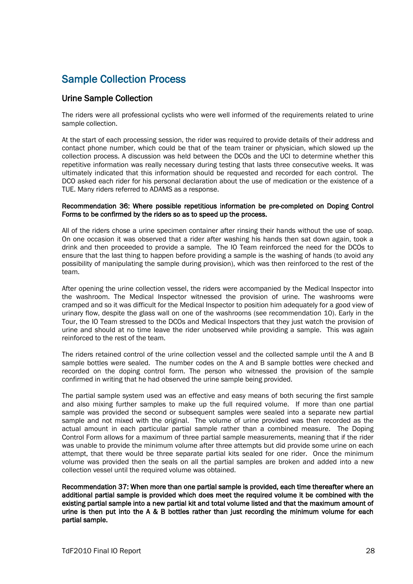## Sample Collection Process

### Urine Sample Collection

The riders were all professional cyclists who were well informed of the requirements related to urine sample collection.

At the start of each processing session, the rider was required to provide details of their address and contact phone number, which could be that of the team trainer or physician, which slowed up the collection process. A discussion was held between the DCOs and the UCI to determine whether this repetitive information was really necessary during testing that lasts three consecutive weeks. It was ultimately indicated that this information should be requested and recorded for each control. The DCO asked each rider for his personal declaration about the use of medication or the existence of a TUE. Many riders referred to ADAMS as a response.

#### Recommendation 36: Where possible repetitious information be pre-completed on Doping Control Forms to be confirmed by the riders so as to speed up the process.

All of the riders chose a urine specimen container after rinsing their hands without the use of soap. On one occasion it was observed that a rider after washing his hands then sat down again, took a drink and then proceeded to provide a sample. The IO Team reinforced the need for the DCOs to ensure that the last thing to happen before providing a sample is the washing of hands (to avoid any possibility of manipulating the sample during provision), which was then reinforced to the rest of the team.

After opening the urine collection vessel, the riders were accompanied by the Medical Inspector into the washroom. The Medical Inspector witnessed the provision of urine. The washrooms were cramped and so it was difficult for the Medical Inspector to position him adequately for a good view of urinary flow, despite the glass wall on one of the washrooms (see recommendation 10). Early in the Tour, the IO Team stressed to the DCOs and Medical Inspectors that they just watch the provision of urine and should at no time leave the rider unobserved while providing a sample. This was again reinforced to the rest of the team.

The riders retained control of the urine collection vessel and the collected sample until the A and B sample bottles were sealed. The number codes on the A and B sample bottles were checked and recorded on the doping control form. The person who witnessed the provision of the sample confirmed in writing that he had observed the urine sample being provided.

The partial sample system used was an effective and easy means of both securing the first sample and also mixing further samples to make up the full required volume. If more than one partial sample was provided the second or subsequent samples were sealed into a separate new partial sample and not mixed with the original. The volume of urine provided was then recorded as the actual amount in each particular partial sample rather than a combined measure. The Doping Control Form allows for a maximum of three partial sample measurements, meaning that if the rider was unable to provide the minimum volume after three attempts but did provide some urine on each attempt, that there would be three separate partial kits sealed for one rider. Once the minimum volume was provided then the seals on all the partial samples are broken and added into a new collection vessel until the required volume was obtained.

Recommendation 37: When more than one partial sample is provided, each time thereafter where an additional partial sample is provided which does meet the required volume it be combined with the existing partial sample into a new partial kit and total volume listed and that the maximum amount of urine is then put into the A & B bottles rather than just recording the minimum volume for each partial sample.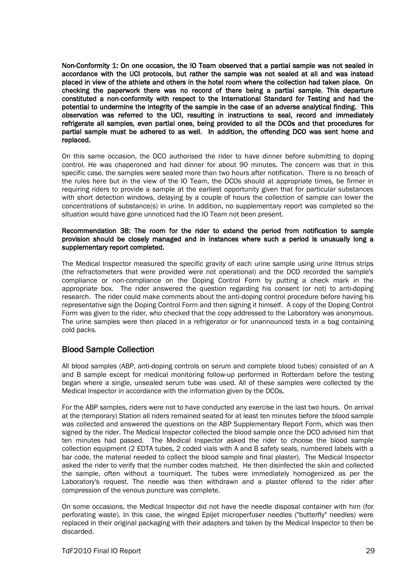Non-Conformity 1: On one occasion, the IO Team observed that a partial sample was not sealed in accordance with the UCI protocols, but rather the sample was not sealed at all and was instead placed in view of the athlete and others in the hotel room where the collection had taken place. On checking the paperwork there was no record of there being a partial sample. This departure constituted a non-conformity with respect to the International Standard for Testing and had the potential to undermine the integrity of the sample in the case of an adverse analytical finding. This observation was referred to the UCI, resulting in instructions to seal, record and immediately refrigerate all samples, even partial ones, being provided to all the DCOs and that procedures for partial sample must be adhered to as well. In addition, the offending DCO was sent home and replaced.

On this same occasion, the DCO authorised the rider to have dinner before submitting to doping control. He was chaperoned and had dinner for about 90 minutes. The concern was that in this specific case, the samples were sealed more than two hours after notification. There is no breach of the rules here but in the view of the IO Team, the DCOs should at appropriate times, be firmer in requiring riders to provide a sample at the earliest opportunity given that for particular substances with short detection windows, delaying by a couple of hours the collection of sample can lower the concentrations of substance(s) in urine. In addition, no supplementary report was completed so the situation would have gone unnoticed had the IO Team not been present.

#### Recommendation 38: The room for the rider to extend the period from notification to sample provision should be closely managed and in instances where such a period is unusually long a supplementary report completed.

The Medical Inspector measured the specific gravity of each urine sample using urine litmus strips (the refractometers that were provided were not operational) and the DCO recorded the sample's compliance or non-compliance on the Doping Control Form by putting a check mark in the appropriate box. The rider answered the question regarding his consent (or not) to anti-doping research. The rider could make comments about the anti-doping control procedure before having his representative sign the Doping Control Form and then signing it himself. A copy of the Doping Control Form was given to the rider, who checked that the copy addressed to the Laboratory was anonymous. The urine samples were then placed in a refrigerator or for unannounced tests in a bag containing cold packs.

## Blood Sample Collection

All blood samples (ABP, anti-doping controls on serum and complete blood tubes) consisted of an A and B sample except for medical monitoring follow-up performed in Rotterdam before the testing began where a single, unsealed serum tube was used. All of these samples were collected by the Medical Inspector in accordance with the information given by the DCOs.

For the ABP samples, riders were not to have conducted any exercise in the last two hours. On arrival at the (temporary) Station all riders remained seated for at least ten minutes before the blood sample was collected and answered the questions on the ABP Supplementary Report Form, which was then signed by the rider. The Medical Inspector collected the blood sample once the DCO advised him that ten minutes had passed. The Medical Inspector asked the rider to choose the blood sample collection equipment (2 EDTA tubes, 2 coded vials with A and B safety seals, numbered labels with a bar code, the material needed to collect the blood sample and final plaster). The Medical Inspector asked the rider to verify that the number codes matched. He then disinfected the skin and collected the sample, often without a tourniquet. The tubes were immediately homogenized as per the Laboratory's request. The needle was then withdrawn and a plaster offered to the rider after compression of the venous puncture was complete.

On some occasions, the Medical Inspector did not have the needle disposal container with him (for perforating waste). In this case, the winged Epijet microperfuser needles ("butterfly" needles) were replaced in their original packaging with their adapters and taken by the Medical Inspector to then be discarded.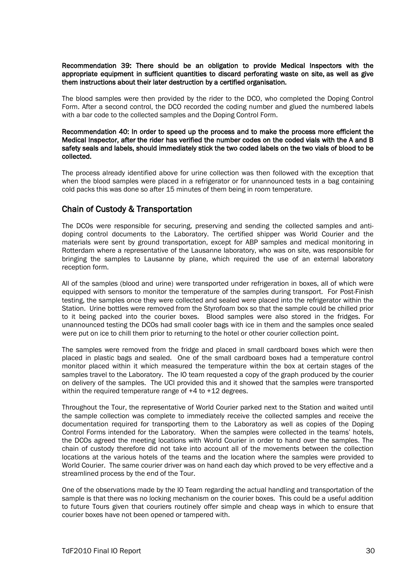#### Recommendation 39: There should be an obligation to provide Medical Inspectors with the appropriate equipment in sufficient quantities to discard perforating waste on site, as well as give them instructions about their later destruction by a certified organisation.

The blood samples were then provided by the rider to the DCO, who completed the Doping Control Form. After a second control, the DCO recorded the coding number and glued the numbered labels with a bar code to the collected samples and the Doping Control Form.

#### Recommendation 40: In order to speed up the process and to make the process more efficient the Medical Inspector, after the rider has verified the number codes on the coded vials with the A and B safety seals and labels, should immediately stick the two coded labels on the two vials of blood to be collected.

The process already identified above for urine collection was then followed with the exception that when the blood samples were placed in a refrigerator or for unannounced tests in a bag containing cold packs this was done so after 15 minutes of them being in room temperature.

## Chain of Custody & Transportation

The DCOs were responsible for securing, preserving and sending the collected samples and antidoping control documents to the Laboratory. The certified shipper was World Courier and the materials were sent by ground transportation, except for ABP samples and medical monitoring in Rotterdam where a representative of the Lausanne laboratory, who was on site, was responsible for bringing the samples to Lausanne by plane, which required the use of an external laboratory reception form.

All of the samples (blood and urine) were transported under refrigeration in boxes, all of which were equipped with sensors to monitor the temperature of the samples during transport. For Post-Finish testing, the samples once they were collected and sealed were placed into the refrigerator within the Station. Urine bottles were removed from the Styrofoam box so that the sample could be chilled prior to it being packed into the courier boxes. Blood samples were also stored in the fridges. For unannounced testing the DCOs had small cooler bags with ice in them and the samples once sealed were put on ice to chill them prior to returning to the hotel or other courier collection point.

The samples were removed from the fridge and placed in small cardboard boxes which were then placed in plastic bags and sealed. One of the small cardboard boxes had a temperature control monitor placed within it which measured the temperature within the box at certain stages of the samples travel to the Laboratory. The IO team requested a copy of the graph produced by the courier on delivery of the samples. The UCI provided this and it showed that the samples were transported within the required temperature range of  $+4$  to  $+12$  degrees.

Throughout the Tour, the representative of World Courier parked next to the Station and waited until the sample collection was complete to immediately receive the collected samples and receive the documentation required for transporting them to the Laboratory as well as copies of the Doping Control Forms intended for the Laboratory. When the samples were collected in the teams' hotels, the DCOs agreed the meeting locations with World Courier in order to hand over the samples. The chain of custody therefore did not take into account all of the movements between the collection locations at the various hotels of the teams and the location where the samples were provided to World Courier. The same courier driver was on hand each day which proved to be very effective and a streamlined process by the end of the Tour.

One of the observations made by the IO Team regarding the actual handling and transportation of the sample is that there was no locking mechanism on the courier boxes. This could be a useful addition to future Tours given that couriers routinely offer simple and cheap ways in which to ensure that courier boxes have not been opened or tampered with.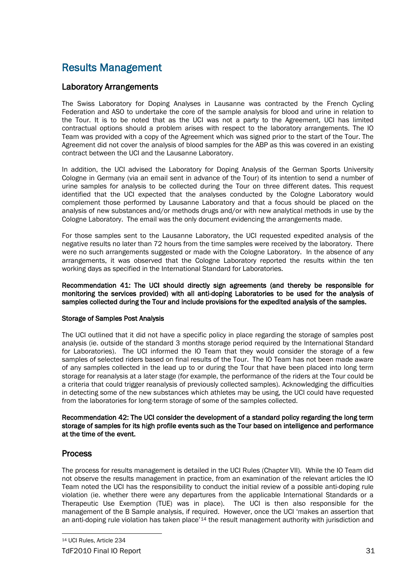## Results Management

## Laboratory Arrangements

The Swiss Laboratory for Doping Analyses in Lausanne was contracted by the French Cycling Federation and ASO to undertake the core of the sample analysis for blood and urine in relation to the Tour. It is to be noted that as the UCI was not a party to the Agreement, UCI has limited contractual options should a problem arises with respect to the laboratory arrangements. The IO Team was provided with a copy of the Agreement which was signed prior to the start of the Tour. The Agreement did not cover the analysis of blood samples for the ABP as this was covered in an existing contract between the UCI and the Lausanne Laboratory.

In addition, the UCI advised the Laboratory for Doping Analysis of the German Sports University Cologne in Germany (via an email sent in advance of the Tour) of its intention to send a number of urine samples for analysis to be collected during the Tour on three different dates. This request identified that the UCI expected that the analyses conducted by the Cologne Laboratory would complement those performed by Lausanne Laboratory and that a focus should be placed on the analysis of new substances and/or methods drugs and/or with new analytical methods in use by the Cologne Laboratory. The email was the only document evidencing the arrangements made.

For those samples sent to the Lausanne Laboratory, the UCI requested expedited analysis of the negative results no later than 72 hours from the time samples were received by the laboratory. There were no such arrangements suggested or made with the Cologne Laboratory. In the absence of any arrangements, it was observed that the Cologne Laboratory reported the results within the ten working days as specified in the International Standard for Laboratories.

Recommendation 41: The UCI should directly sign agreements (and thereby be responsible for monitoring the services provided) with all anti-doping Laboratories to be used for the analysis of samples collected during the Tour and include provisions for the expedited analysis of the samples.

#### Storage of Samples Post Analysis

The UCI outlined that it did not have a specific policy in place regarding the storage of samples post analysis (ie. outside of the standard 3 months storage period required by the International Standard for Laboratories). The UCI informed the IO Team that they would consider the storage of a few samples of selected riders based on final results of the Tour. The IO Team has not been made aware of any samples collected in the lead up to or during the Tour that have been placed into long term storage for reanalysis at a later stage (for example, the performance of the riders at the Tour could be a criteria that could trigger reanalysis of previously collected samples). Acknowledging the difficulties in detecting some of the new substances which athletes may be using, the UCI could have requested from the laboratories for long-term storage of some of the samples collected.

Recommendation 42: The UCI consider the development of a standard policy regarding the long term storage of samples for its high profile events such as the Tour based on intelligence and performance at the time of the event.

## Process

<span id="page-31-0"></span>The process for results management is detailed in the UCI Rules (Chapter VII). While the IO Team did not observe the results management in practice, from an examination of the relevant articles the IO Team noted the UCI has the responsibility to conduct the initial review of a possible anti-doping rule violation (ie. whether there were any departures from the applicable International Standards or a Therapeutic Use Exemption (TUE) was in place). The UCI is then also responsible for the management of the B Sample analysis, if required. However, once the UCI 'makes an assertion that an anti-doping rule violation has taken place'<sup>[14](#page-31-0)</sup> the result management authority with jurisdiction and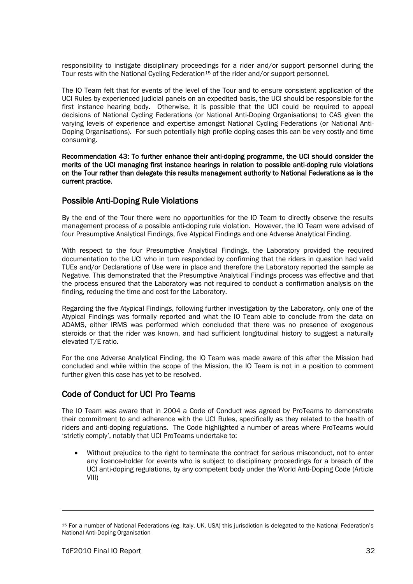responsibility to instigate disciplinary proceedings for a rider and/or support personnel during the Tour rests with the National Cycling Federation<sup>[15](#page-32-0)</sup> of the rider and/or support personnel.

The IO Team felt that for events of the level of the Tour and to ensure consistent application of the UCI Rules by experienced judicial panels on an expedited basis, the UCI should be responsible for the first instance hearing body. Otherwise, it is possible that the UCI could be required to appeal decisions of National Cycling Federations (or National Anti-Doping Organisations) to CAS given the varying levels of experience and expertise amongst National Cycling Federations (or National Anti-Doping Organisations). For such potentially high profile doping cases this can be very costly and time consuming.

Recommendation 43: To further enhance their anti-doping programme, the UCI should consider the merits of the UCI managing first instance hearings in relation to possible anti-doping rule violations on the Tour rather than delegate this results management authority to National Federations as is the current practice.

### Possible Anti-Doping Rule Violations

By the end of the Tour there were no opportunities for the IO Team to directly observe the results management process of a possible anti-doping rule violation. However, the IO Team were advised of four Presumptive Analytical Findings, five Atypical Findings and one Adverse Analytical Finding.

With respect to the four Presumptive Analytical Findings, the Laboratory provided the required documentation to the UCI who in turn responded by confirming that the riders in question had valid TUEs and/or Declarations of Use were in place and therefore the Laboratory reported the sample as Negative. This demonstrated that the Presumptive Analytical Findings process was effective and that the process ensured that the Laboratory was not required to conduct a confirmation analysis on the finding, reducing the time and cost for the Laboratory.

Regarding the five Atypical Findings, following further investigation by the Laboratory, only one of the Atypical Findings was formally reported and what the IO Team able to conclude from the data on ADAMS, either IRMS was performed which concluded that there was no presence of exogenous steroids or that the rider was known, and had sufficient longitudinal history to suggest a naturally elevated T/E ratio.

For the one Adverse Analytical Finding, the IO Team was made aware of this after the Mission had concluded and while within the scope of the Mission, the IO Team is not in a position to comment further given this case has yet to be resolved.

## Code of Conduct for UCI Pro Teams

The IO Team was aware that in 2004 a Code of Conduct was agreed by ProTeams to demonstrate their commitment to and adherence with the UCI Rules, specifically as they related to the health of riders and anti-doping regulations. The Code highlighted a number of areas where ProTeams would 'strictly comply', notably that UCI ProTeams undertake to:

• Without prejudice to the right to terminate the contract for serious misconduct, not to enter any licence-holder for events who is subject to disciplinary proceedings for a breach of the UCI anti-doping regulations, by any competent body under the World Anti-Doping Code (Article VIII)

-

<span id="page-32-0"></span><sup>15</sup> For a number of National Federations (eg. Italy, UK, USA) this jurisdiction is delegated to the National Federation's National Anti-Doping Organisation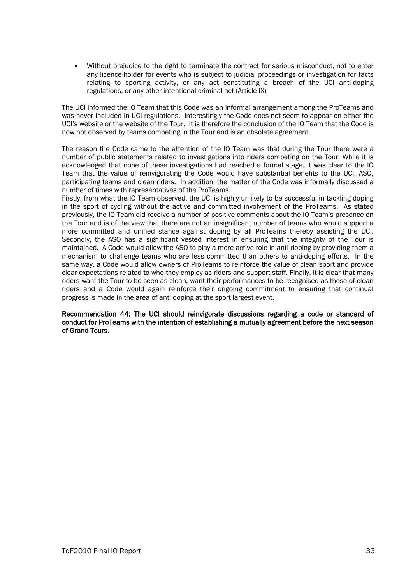• Without prejudice to the right to terminate the contract for serious misconduct, not to enter any licence-holder for events who is subject to judicial proceedings or investigation for facts relating to sporting activity, or any act constituting a breach of the UCI anti-doping regulations, or any other intentional criminal act (Article IX)

The UCI informed the IO Team that this Code was an informal arrangement among the ProTeams and was never included in UCI regulations. Interestingly the Code does not seem to appear on either the UCI's website or the website of the Tour. It is therefore the conclusion of the IO Team that the Code is now not observed by teams competing in the Tour and is an obsolete agreement.

The reason the Code came to the attention of the IO Team was that during the Tour there were a number of public statements related to investigations into riders competing on the Tour. While it is acknowledged that none of these investigations had reached a formal stage, it was clear to the IO Team that the value of reinvigorating the Code would have substantial benefits to the UCI, ASO, participating teams and clean riders. In addition, the matter of the Code was informally discussed a number of times with representatives of the ProTeams.

Firstly, from what the IO Team observed, the UCI is highly unlikely to be successful in tackling doping in the sport of cycling without the active and committed involvement of the ProTeams. As stated previously, the IO Team did receive a number of positive comments about the IO Team's presence on the Tour and is of the view that there are not an insignificant number of teams who would support a more committed and unified stance against doping by all ProTeams thereby assisting the UCI. Secondly, the ASO has a significant vested interest in ensuring that the integrity of the Tour is maintained. A Code would allow the ASO to play a more active role in anti-doping by providing them a mechanism to challenge teams who are less committed than others to anti-doping efforts. In the same way, a Code would allow owners of ProTeams to reinforce the value of clean sport and provide clear expectations related to who they employ as riders and support staff. Finally, it is clear that many riders want the Tour to be seen as clean, want their performances to be recognised as those of clean riders and a Code would again reinforce their ongoing commitment to ensuring that continual progress is made in the area of anti-doping at the sport largest event.

Recommendation 44: The UCI should reinvigorate discussions regarding a code or standard of conduct for ProTeams with the intention of establishing a mutually agreement before the next season of Grand Tours.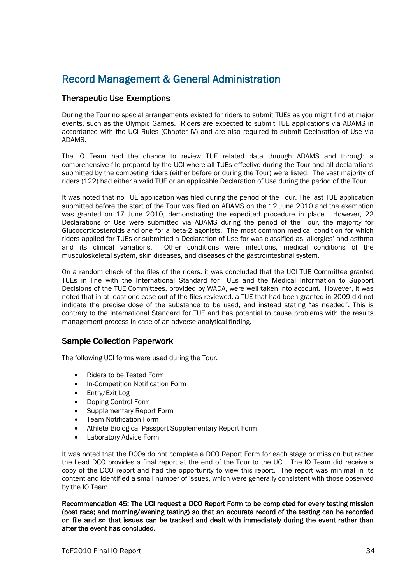## Record Management & General Administration

## Therapeutic Use Exemptions

During the Tour no special arrangements existed for riders to submit TUEs as you might find at major events, such as the Olympic Games. Riders are expected to submit TUE applications via ADAMS in accordance with the UCI Rules (Chapter IV) and are also required to submit Declaration of Use via ADAMS.

The IO Team had the chance to review TUE related data through ADAMS and through a comprehensive file prepared by the UCI where all TUEs effective during the Tour and all declarations submitted by the competing riders (either before or during the Tour) were listed. The vast majority of riders (122) had either a valid TUE or an applicable Declaration of Use during the period of the Tour.

It was noted that no TUE application was filed during the period of the Tour. The last TUE application submitted before the start of the Tour was filed on ADAMS on the 12 June 2010 and the exemption was granted on 17 June 2010, demonstrating the expedited procedure in place. However, 22 Declarations of Use were submitted via ADAMS during the period of the Tour, the majority for Glucocorticosteroids and one for a beta-2 agonists. The most common medical condition for which riders applied for TUEs or submitted a Declaration of Use for was classified as 'allergies' and asthma and its clinical variations. Other conditions were infections, medical conditions of the musculoskeletal system, skin diseases, and diseases of the gastrointestinal system.

On a random check of the files of the riders, it was concluded that the UCI TUE Committee granted TUEs in line with the International Standard for TUEs and the Medical Information to Support Decisions of the TUE Committees, provided by WADA, were well taken into account. However, it was noted that in at least one case out of the files reviewed, a TUE that had been granted in 2009 did not indicate the precise dose of the substance to be used, and instead stating "as needed". This is contrary to the International Standard for TUE and has potential to cause problems with the results management process in case of an adverse analytical finding.

### Sample Collection Paperwork

The following UCI forms were used during the Tour.

- Riders to be Tested Form
- In-Competition Notification Form
- Entry/Exit Log
- Doping Control Form
- Supplementary Report Form
- Team Notification Form
- Athlete Biological Passport Supplementary Report Form
- Laboratory Advice Form

It was noted that the DCOs do not complete a DCO Report Form for each stage or mission but rather the Lead DCO provides a final report at the end of the Tour to the UCI. The IO Team did receive a copy of the DCO report and had the opportunity to view this report. The report was minimal in its content and identified a small number of issues, which were generally consistent with those observed by the IO Team.

Recommendation 45: The UCI request a DCO Report Form to be completed for every testing mission (post race; and morning/evening testing) so that an accurate record of the testing can be recorded on file and so that issues can be tracked and dealt with immediately during the event rather than after the event has concluded.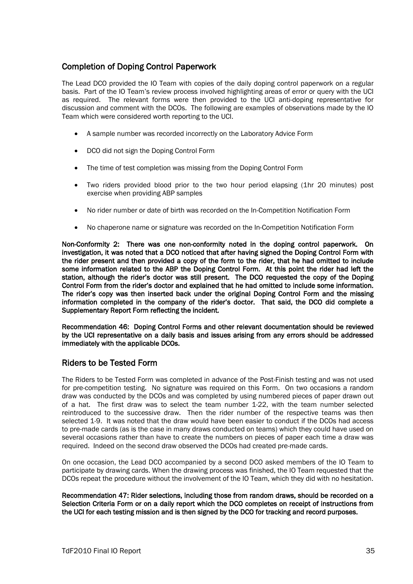## Completion of Doping Control Paperwork

The Lead DCO provided the IO Team with copies of the daily doping control paperwork on a regular basis. Part of the IO Team's review process involved highlighting areas of error or query with the UCI as required. The relevant forms were then provided to the UCI anti-doping representative for discussion and comment with the DCOs. The following are examples of observations made by the IO Team which were considered worth reporting to the UCI.

- A sample number was recorded incorrectly on the Laboratory Advice Form
- DCO did not sign the Doping Control Form
- The time of test completion was missing from the Doping Control Form
- Two riders provided blood prior to the two hour period elapsing (1hr 20 minutes) post exercise when providing ABP samples
- No rider number or date of birth was recorded on the In-Competition Notification Form
- No chaperone name or signature was recorded on the In-Competition Notification Form

Non-Conformity 2: There was one non-conformity noted in the doping control paperwork. On investigation, it was noted that a DCO noticed that after having signed the Doping Control Form with the rider present and then provided a copy of the form to the rider, that he had omitted to include some information related to the ABP the Doping Control Form. At this point the rider had left the station, although the rider's doctor was still present. The DCO requested the copy of the Doping Control Form from the rider's doctor and explained that he had omitted to include some information. The rider's copy was then inserted back under the original Doping Control Form and the missing information completed in the company of the rider's doctor. That said, the DCO did complete a Supplementary Report Form reflecting the incident.

Recommendation 46: Doping Control Forms and other relevant documentation should be reviewed by the UCI representative on a daily basis and issues arising from any errors should be addressed immediately with the applicable DCOs.

## Riders to be Tested Form

The Riders to be Tested Form was completed in advance of the Post-Finish testing and was not used for pre-competition testing. No signature was required on this Form. On two occasions a random draw was conducted by the DCOs and was completed by using numbered pieces of paper drawn out of a hat. The first draw was to select the team number 1-22, with the team number selected reintroduced to the successive draw. Then the rider number of the respective teams was then selected 1-9. It was noted that the draw would have been easier to conduct if the DCOs had access to pre-made cards (as is the case in many draws conducted on teams) which they could have used on several occasions rather than have to create the numbers on pieces of paper each time a draw was required. Indeed on the second draw observed the DCOs had created pre-made cards.

On one occasion, the Lead DCO accompanied by a second DCO asked members of the IO Team to participate by drawing cards. When the drawing process was finished, the IO Team requested that the DCOs repeat the procedure without the involvement of the IO Team, which they did with no hesitation.

Recommendation 47: Rider selections, including those from random draws, should be recorded on a Selection Criteria Form or on a daily report which the DCO completes on receipt of instructions from the UCI for each testing mission and is then signed by the DCO for tracking and record purposes.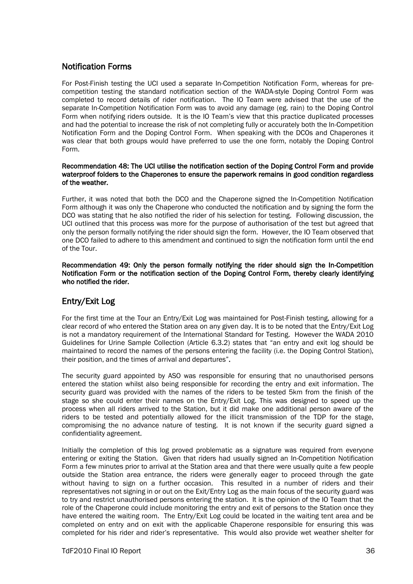## Notification Forms

For Post-Finish testing the UCI used a separate In-Competition Notification Form, whereas for precompetition testing the standard notification section of the WADA-style Doping Control Form was completed to record details of rider notification. The IO Team were advised that the use of the separate In-Competition Notification Form was to avoid any damage (eg. rain) to the Doping Control Form when notifying riders outside. It is the IO Team's view that this practice duplicated processes and had the potential to increase the risk of not completing fully or accurately both the In-Competition Notification Form and the Doping Control Form. When speaking with the DCOs and Chaperones it was clear that both groups would have preferred to use the one form, notably the Doping Control Form.

#### Recommendation 48: The UCI utilise the notification section of the Doping Control Form and provide waterproof folders to the Chaperones to ensure the paperwork remains in good condition regardless of the weather.

Further, it was noted that both the DCO and the Chaperone signed the In-Competition Notification Form although it was only the Chaperone who conducted the notification and by signing the form the DCO was stating that he also notified the rider of his selection for testing. Following discussion, the UCI outlined that this process was more for the purpose of authorisation of the test but agreed that only the person formally notifying the rider should sign the form. However, the IO Team observed that one DCO failed to adhere to this amendment and continued to sign the notification form until the end of the Tour.

Recommendation 49: Only the person formally notifying the rider should sign the In-Competition Notification Form or the notification section of the Doping Control Form, thereby clearly identifying who notified the rider.

## Entry/Exit Log

For the first time at the Tour an Entry/Exit Log was maintained for Post-Finish testing, allowing for a clear record of who entered the Station area on any given day. It is to be noted that the Entry/Exit Log is not a mandatory requirement of the International Standard for Testing. However the WADA 2010 Guidelines for Urine Sample Collection (Article 6.3.2) states that "an entry and exit log should be maintained to record the names of the persons entering the facility (i.e. the Doping Control Station), their position, and the times of arrival and departures".

The security guard appointed by ASO was responsible for ensuring that no unauthorised persons entered the station whilst also being responsible for recording the entry and exit information. The security guard was provided with the names of the riders to be tested 5km from the finish of the stage so she could enter their names on the Entry/Exit Log. This was designed to speed up the process when all riders arrived to the Station, but it did make one additional person aware of the riders to be tested and potentially allowed for the illicit transmission of the TDP for the stage, compromising the no advance nature of testing. It is not known if the security guard signed a confidentiality agreement.

Initially the completion of this log proved problematic as a signature was required from everyone entering or exiting the Station. Given that riders had usually signed an In-Competition Notification Form a few minutes prior to arrival at the Station area and that there were usually quite a few people outside the Station area entrance, the riders were generally eager to proceed through the gate without having to sign on a further occasion. This resulted in a number of riders and their representatives not signing in or out on the Exit/Entry Log as the main focus of the security guard was to try and restrict unauthorised persons entering the station. It is the opinion of the IO Team that the role of the Chaperone could include monitoring the entry and exit of persons to the Station once they have entered the waiting room. The Entry/Exit Log could be located in the waiting tent area and be completed on entry and on exit with the applicable Chaperone responsible for ensuring this was completed for his rider and rider's representative. This would also provide wet weather shelter for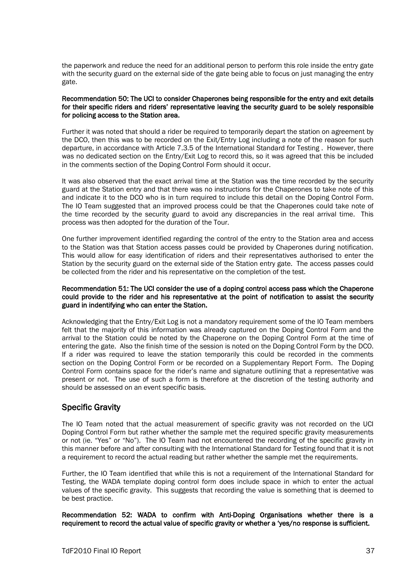the paperwork and reduce the need for an additional person to perform this role inside the entry gate with the security guard on the external side of the gate being able to focus on just managing the entry gate.

#### Recommendation 50: The UCI to consider Chaperones being responsible for the entry and exit details for their specific riders and riders' representative leaving the security guard to be solely responsible for policing access to the Station area.

Further it was noted that should a rider be required to temporarily depart the station on agreement by the DCO, then this was to be recorded on the Exit/Entry Log including a note of the reason for such departure, in accordance with Article 7.3.5 of the International Standard for Testing . However, there was no dedicated section on the Entry/Exit Log to record this, so it was agreed that this be included in the comments section of the Doping Control Form should it occur.

It was also observed that the exact arrival time at the Station was the time recorded by the security guard at the Station entry and that there was no instructions for the Chaperones to take note of this and indicate it to the DCO who is in turn required to include this detail on the Doping Control Form. The IO Team suggested that an improved process could be that the Chaperones could take note of the time recorded by the security guard to avoid any discrepancies in the real arrival time. This process was then adopted for the duration of the Tour.

One further improvement identified regarding the control of the entry to the Station area and access to the Station was that Station access passes could be provided by Chaperones during notification. This would allow for easy identification of riders and their representatives authorised to enter the Station by the security guard on the external side of the Station entry gate. The access passes could be collected from the rider and his representative on the completion of the test.

#### Recommendation 51: The UCI consider the use of a doping control access pass which the Chaperone could provide to the rider and his representative at the point of notification to assist the security guard in indentifying who can enter the Station.

Acknowledging that the Entry/Exit Log is not a mandatory requirement some of the IO Team members felt that the majority of this information was already captured on the Doping Control Form and the arrival to the Station could be noted by the Chaperone on the Doping Control Form at the time of entering the gate. Also the finish time of the session is noted on the Doping Control Form by the DCO. If a rider was required to leave the station temporarily this could be recorded in the comments section on the Doping Control Form or be recorded on a Supplementary Report Form. The Doping Control Form contains space for the rider's name and signature outlining that a representative was present or not. The use of such a form is therefore at the discretion of the testing authority and should be assessed on an event specific basis.

## Specific Gravity

The IO Team noted that the actual measurement of specific gravity was not recorded on the UCI Doping Control Form but rather whether the sample met the required specific gravity measurements or not (ie. "Yes" or "No"). The IO Team had not encountered the recording of the specific gravity in this manner before and after consulting with the International Standard for Testing found that it is not a requirement to record the actual reading but rather whether the sample met the requirements.

Further, the IO Team identified that while this is not a requirement of the International Standard for Testing, the WADA template doping control form does include space in which to enter the actual values of the specific gravity. This suggests that recording the value is something that is deemed to be best practice.

Recommendation 52: WADA to confirm with Anti-Doping Organisations whether there is a requirement to record the actual value of specific gravity or whether a 'yes/no response is sufficient.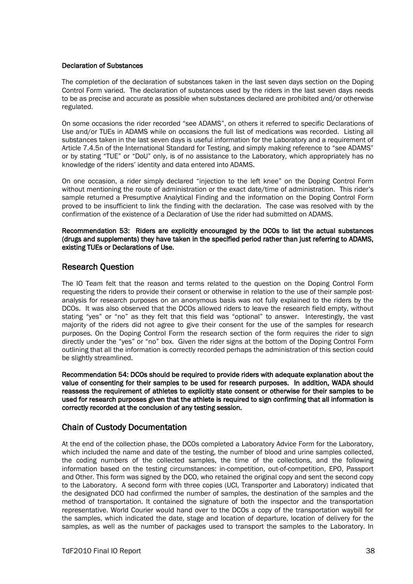#### Declaration of Substances

The completion of the declaration of substances taken in the last seven days section on the Doping Control Form varied. The declaration of substances used by the riders in the last seven days needs to be as precise and accurate as possible when substances declared are prohibited and/or otherwise regulated.

On some occasions the rider recorded "see ADAMS", on others it referred to specific Declarations of Use and/or TUEs in ADAMS while on occasions the full list of medications was recorded. Listing all substances taken in the last seven days is useful information for the Laboratory and a requirement of Article 7.4.5n of the International Standard for Testing, and simply making reference to "see ADAMS" or by stating "TUE" or "DoU" only, is of no assistance to the Laboratory, which appropriately has no knowledge of the riders' identity and data entered into ADAMS.

On one occasion, a rider simply declared "injection to the left knee" on the Doping Control Form without mentioning the route of administration or the exact date/time of administration. This rider's sample returned a Presumptive Analytical Finding and the information on the Doping Control Form proved to be insufficient to link the finding with the declaration. The case was resolved with by the confirmation of the existence of a Declaration of Use the rider had submitted on ADAMS.

Recommendation 53: Riders are explicitly encouraged by the DCOs to list the actual substances (drugs and supplements) they have taken in the specified period rather than just referring to ADAMS, existing TUEs or Declarations of Use.

### Research Question

The IO Team felt that the reason and terms related to the question on the Doping Control Form requesting the riders to provide their consent or otherwise in relation to the use of their sample postanalysis for research purposes on an anonymous basis was not fully explained to the riders by the DCOs. It was also observed that the DCOs allowed riders to leave the research field empty, without stating "yes" or "no" as they felt that this field was "optional" to answer. Interestingly, the vast majority of the riders did not agree to give their consent for the use of the samples for research purposes. On the Doping Control Form the research section of the form requires the rider to sign directly under the "yes" or "no" box. Given the rider signs at the bottom of the Doping Control Form outlining that all the information is correctly recorded perhaps the administration of this section could be slightly streamlined.

Recommendation 54: DCOs should be required to provide riders with adequate explanation about the value of consenting for their samples to be used for research purposes. In addition, WADA should reassess the requirement of athletes to explicitly state consent or otherwise for their samples to be used for research purposes given that the athlete is required to sign confirming that all information is correctly recorded at the conclusion of any testing session.

### Chain of Custody Documentation

At the end of the collection phase, the DCOs completed a Laboratory Advice Form for the Laboratory, which included the name and date of the testing, the number of blood and urine samples collected, the coding numbers of the collected samples, the time of the collections, and the following information based on the testing circumstances: in-competition, out-of-competition, EPO, Passport and Other. This form was signed by the DCO, who retained the original copy and sent the second copy to the Laboratory. A second form with three copies (UCI, Transporter and Laboratory) indicated that the designated DCO had confirmed the number of samples, the destination of the samples and the method of transportation. It contained the signature of both the inspector and the transportation representative. World Courier would hand over to the DCOs a copy of the transportation waybill for the samples, which indicated the date, stage and location of departure, location of delivery for the samples, as well as the number of packages used to transport the samples to the Laboratory. In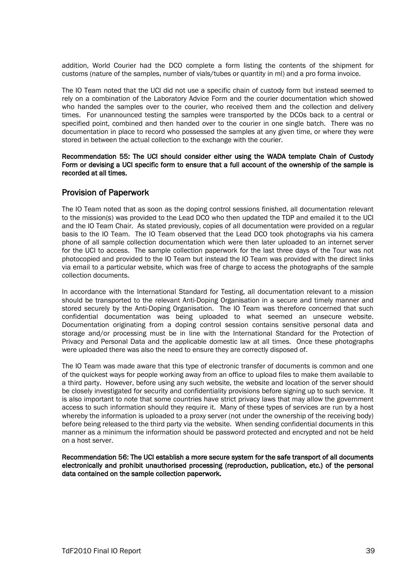addition, World Courier had the DCO complete a form listing the contents of the shipment for customs (nature of the samples, number of vials/tubes or quantity in ml) and a pro forma invoice.

The IO Team noted that the UCI did not use a specific chain of custody form but instead seemed to rely on a combination of the Laboratory Advice Form and the courier documentation which showed who handed the samples over to the courier, who received them and the collection and delivery times. For unannounced testing the samples were transported by the DCOs back to a central or specified point, combined and then handed over to the courier in one single batch. There was no documentation in place to record who possessed the samples at any given time, or where they were stored in between the actual collection to the exchange with the courier.

#### Recommendation 55: The UCI should consider either using the WADA template Chain of Custody Form or devising a UCI specific form to ensure that a full account of the ownership of the sample is recorded at all times.

### Provision of Paperwork

The IO Team noted that as soon as the doping control sessions finished, all documentation relevant to the mission(s) was provided to the Lead DCO who then updated the TDP and emailed it to the UCI and the IO Team Chair. As stated previously, copies of all documentation were provided on a regular basis to the IO Team. The IO Team observed that the Lead DCO took photographs via his camera phone of all sample collection documentation which were then later uploaded to an internet server for the UCI to access. The sample collection paperwork for the last three days of the Tour was not photocopied and provided to the IO Team but instead the IO Team was provided with the direct links via email to a particular website, which was free of charge to access the photographs of the sample collection documents.

In accordance with the International Standard for Testing, all documentation relevant to a mission should be transported to the relevant Anti-Doping Organisation in a secure and timely manner and stored securely by the Anti-Doping Organisation. The IO Team was therefore concerned that such confidential documentation was being uploaded to what seemed an unsecure website. Documentation originating from a doping control session contains sensitive personal data and storage and/or processing must be in line with the International Standard for the Protection of Privacy and Personal Data and the applicable domestic law at all times. Once these photographs were uploaded there was also the need to ensure they are correctly disposed of.

The IO Team was made aware that this type of electronic transfer of documents is common and one of the quickest ways for people working away from an office to upload files to make them available to a third party. However, before using any such website, the website and location of the server should be closely investigated for security and confidentiality provisions before signing up to such service. It is also important to note that some countries have strict privacy laws that may allow the government access to such information should they require it. Many of these types of services are run by a host whereby the information is uploaded to a proxy server (not under the ownership of the receiving body) before being released to the third party via the website. When sending confidential documents in this manner as a minimum the information should be password protected and encrypted and not be held on a host server.

Recommendation 56: The UCI establish a more secure system for the safe transport of all documents electronically and prohibit unauthorised processing (reproduction, publication, etc.) of the personal data contained on the sample collection paperwork.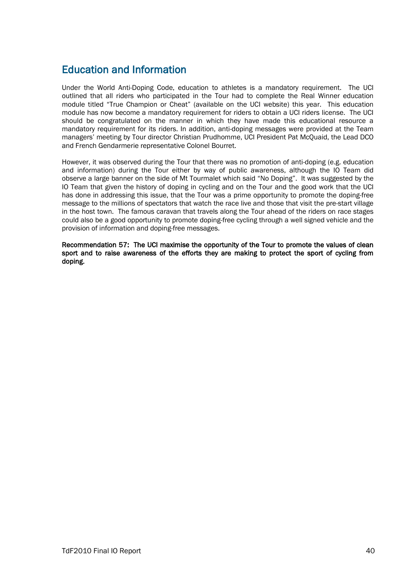## Education and Information

Under the World Anti-Doping Code, education to athletes is a mandatory requirement. The UCI outlined that all riders who participated in the Tour had to complete the Real Winner education module titled "True Champion or Cheat" (available on the UCI website) this year. This education module has now become a mandatory requirement for riders to obtain a UCI riders license. The UCI should be congratulated on the manner in which they have made this educational resource a mandatory requirement for its riders. In addition, anti-doping messages were provided at the Team managers' meeting by Tour director Christian Prudhomme, UCI President Pat McQuaid, the Lead DCO and French Gendarmerie representative Colonel Bourret.

However, it was observed during the Tour that there was no promotion of anti-doping (e.g. education and information) during the Tour either by way of public awareness, although the IO Team did observe a large banner on the side of Mt Tourmalet which said "No Doping". It was suggested by the IO Team that given the history of doping in cycling and on the Tour and the good work that the UCI has done in addressing this issue, that the Tour was a prime opportunity to promote the doping-free message to the millions of spectators that watch the race live and those that visit the pre-start village in the host town. The famous caravan that travels along the Tour ahead of the riders on race stages could also be a good opportunity to promote doping-free cycling through a well signed vehicle and the provision of information and doping-free messages.

Recommendation 57: The UCI maximise the opportunity of the Tour to promote the values of clean sport and to raise awareness of the efforts they are making to protect the sport of cycling from doping.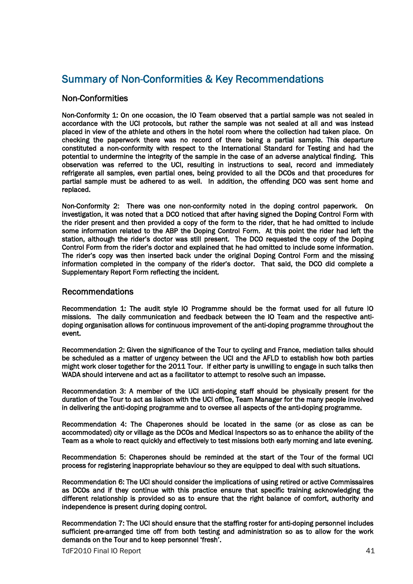## Summary of Non-Conformities & Key Recommendations

### Non-Conformities

Non-Conformity 1: On one occasion, the IO Team observed that a partial sample was not sealed in accordance with the UCI protocols, but rather the sample was not sealed at all and was instead placed in view of the athlete and others in the hotel room where the collection had taken place. On checking the paperwork there was no record of there being a partial sample. This departure constituted a non-conformity with respect to the International Standard for Testing and had the potential to undermine the integrity of the sample in the case of an adverse analytical finding. This observation was referred to the UCI, resulting in instructions to seal, record and immediately refrigerate all samples, even partial ones, being provided to all the DCOs and that procedures for partial sample must be adhered to as well. In addition, the offending DCO was sent home and replaced.

Non-Conformity 2: There was one non-conformity noted in the doping control paperwork. On investigation, it was noted that a DCO noticed that after having signed the Doping Control Form with the rider present and then provided a copy of the form to the rider, that he had omitted to include some information related to the ABP the Doping Control Form. At this point the rider had left the station, although the rider's doctor was still present. The DCO requested the copy of the Doping Control Form from the rider's doctor and explained that he had omitted to include some information. The rider's copy was then inserted back under the original Doping Control Form and the missing information completed in the company of the rider's doctor. That said, the DCO did complete a Supplementary Report Form reflecting the incident.

#### Recommendations

Recommendation 1: The audit style IO Programme should be the format used for all future IO missions. The daily communication and feedback between the IO Team and the respective antidoping organisation allows for continuous improvement of the anti-doping programme throughout the event.

Recommendation 2: Given the significance of the Tour to cycling and France, mediation talks should be scheduled as a matter of urgency between the UCI and the AFLD to establish how both parties might work closer together for the 2011 Tour. If either party is unwilling to engage in such talks then WADA should intervene and act as a facilitator to attempt to resolve such an impasse.

Recommendation 3: A member of the UCI anti-doping staff should be physically present for the duration of the Tour to act as liaison with the UCI office, Team Manager for the many people involved in delivering the anti-doping programme and to oversee all aspects of the anti-doping programme.

Recommendation 4: The Chaperones should be located in the same (or as close as can be accommodated) city or village as the DCOs and Medical Inspectors so as to enhance the ability of the Team as a whole to react quickly and effectively to test missions both early morning and late evening.

Recommendation 5: Chaperones should be reminded at the start of the Tour of the formal UCI process for registering inappropriate behaviour so they are equipped to deal with such situations.

Recommendation 6: The UCI should consider the implications of using retired or active Commissaires as DCOs and if they continue with this practice ensure that specific training acknowledging the different relationship is provided so as to ensure that the right balance of comfort, authority and independence is present during doping control.

Recommendation 7: The UCI should ensure that the staffing roster for anti-doping personnel includes sufficient pre-arranged time off from both testing and administration so as to allow for the work demands on the Tour and to keep personnel 'fresh'.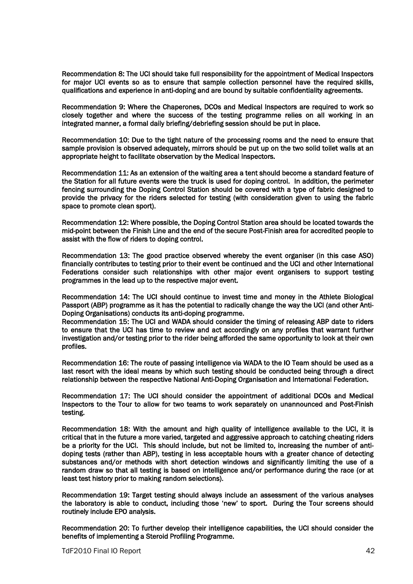Recommendation 8: The UCI should take full responsibility for the appointment of Medical Inspectors for major UCI events so as to ensure that sample collection personnel have the required skills, qualifications and experience in anti-doping and are bound by suitable confidentiality agreements.

Recommendation 9: Where the Chaperones, DCOs and Medical Inspectors are required to work so closely together and where the success of the testing programme relies on all working in an integrated manner, a formal daily briefing/debriefing session should be put in place.

Recommendation 10: Due to the tight nature of the processing rooms and the need to ensure that sample provision is observed adequately, mirrors should be put up on the two solid toilet walls at an appropriate height to facilitate observation by the Medical Inspectors.

Recommendation 11: As an extension of the waiting area a tent should become a standard feature of the Station for all future events were the truck is used for doping control. In addition, the perimeter fencing surrounding the Doping Control Station should be covered with a type of fabric designed to provide the privacy for the riders selected for testing (with consideration given to using the fabric space to promote clean sport).

Recommendation 12: Where possible, the Doping Control Station area should be located towards the mid-point between the Finish Line and the end of the secure Post-Finish area for accredited people to assist with the flow of riders to doping control.

Recommendation 13: The good practice observed whereby the event organiser (in this case ASO) financially contributes to testing prior to their event be continued and the UCI and other International Federations consider such relationships with other major event organisers to support testing programmes in the lead up to the respective major event.

Recommendation 14: The UCI should continue to invest time and money in the Athlete Biological Passport (ABP) programme as it has the potential to radically change the way the UCI (and other Anti-Doping Organisations) conducts its anti-doping programme.

Recommendation 15: The UCI and WADA should consider the timing of releasing ABP date to riders to ensure that the UCI has time to review and act accordingly on any profiles that warrant further investigation and/or testing prior to the rider being afforded the same opportunity to look at their own profiles.

Recommendation 16: The route of passing intelligence via WADA to the IO Team should be used as a last resort with the ideal means by which such testing should be conducted being through a direct relationship between the respective National Anti-Doping Organisation and International Federation.

Recommendation 17: The UCI should consider the appointment of additional DCOs and Medical Inspectors to the Tour to allow for two teams to work separately on unannounced and Post-Finish testing.

Recommendation 18: With the amount and high quality of intelligence available to the UCI, it is critical that in the future a more varied, targeted and aggressive approach to catching cheating riders be a priority for the UCI. This should include, but not be limited to, increasing the number of antidoping tests (rather than ABP), testing in less acceptable hours with a greater chance of detecting substances and/or methods with short detection windows and significantly limiting the use of a random draw so that all testing is based on intelligence and/or performance during the race (or at least test history prior to making random selections).

Recommendation 19: Target testing should always include an assessment of the various analyses the laboratory is able to conduct, including those 'new' to sport. During the Tour screens should routinely include EPO analysis.

Recommendation 20: To further develop their intelligence capabilities, the UCI should consider the benefits of implementing a Steroid Profiling Programme.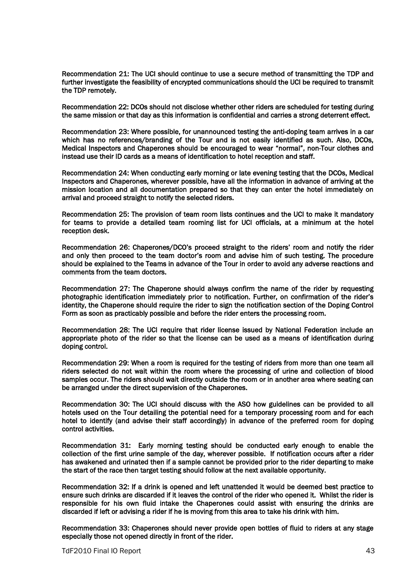Recommendation 21: The UCI should continue to use a secure method of transmitting the TDP and further investigate the feasibility of encrypted communications should the UCI be required to transmit the TDP remotely.

Recommendation 22: DCOs should not disclose whether other riders are scheduled for testing during the same mission or that day as this information is confidential and carries a strong deterrent effect.

Recommendation 23: Where possible, for unannounced testing the anti-doping team arrives in a car which has no references/branding of the Tour and is not easily identified as such. Also, DCOs, Medical Inspectors and Chaperones should be encouraged to wear "normal", non-Tour clothes and instead use their ID cards as a means of identification to hotel reception and staff.

Recommendation 24: When conducting early morning or late evening testing that the DCOs, Medical Inspectors and Chaperones, wherever possible, have all the information in advance of arriving at the mission location and all documentation prepared so that they can enter the hotel immediately on arrival and proceed straight to notify the selected riders.

Recommendation 25: The provision of team room lists continues and the UCI to make it mandatory for teams to provide a detailed team rooming list for UCI officials, at a minimum at the hotel reception desk.

Recommendation 26: Chaperones/DCO's proceed straight to the riders' room and notify the rider and only then proceed to the team doctor's room and advise him of such testing. The procedure should be explained to the Teams in advance of the Tour in order to avoid any adverse reactions and comments from the team doctors.

Recommendation 27: The Chaperone should always confirm the name of the rider by requesting photographic identification immediately prior to notification. Further, on confirmation of the rider's identity, the Chaperone should require the rider to sign the notification section of the Doping Control Form as soon as practicably possible and before the rider enters the processing room.

Recommendation 28: The UCI require that rider license issued by National Federation include an appropriate photo of the rider so that the license can be used as a means of identification during doping control.

Recommendation 29: When a room is required for the testing of riders from more than one team all riders selected do not wait within the room where the processing of urine and collection of blood samples occur. The riders should wait directly outside the room or in another area where seating can be arranged under the direct supervision of the Chaperones.

Recommendation 30: The UCI should discuss with the ASO how guidelines can be provided to all hotels used on the Tour detailing the potential need for a temporary processing room and for each hotel to identify (and advise their staff accordingly) in advance of the preferred room for doping control activities.

Recommendation 31: Early morning testing should be conducted early enough to enable the collection of the first urine sample of the day, wherever possible. If notification occurs after a rider has awakened and urinated then if a sample cannot be provided prior to the rider departing to make the start of the race then target testing should follow at the next available opportunity.

Recommendation 32: If a drink is opened and left unattended it would be deemed best practice to ensure such drinks are discarded if it leaves the control of the rider who opened it. Whilst the rider is responsible for his own fluid intake the Chaperones could assist with ensuring the drinks are discarded if left or advising a rider if he is moving from this area to take his drink with him.

Recommendation 33: Chaperones should never provide open bottles of fluid to riders at any stage especially those not opened directly in front of the rider.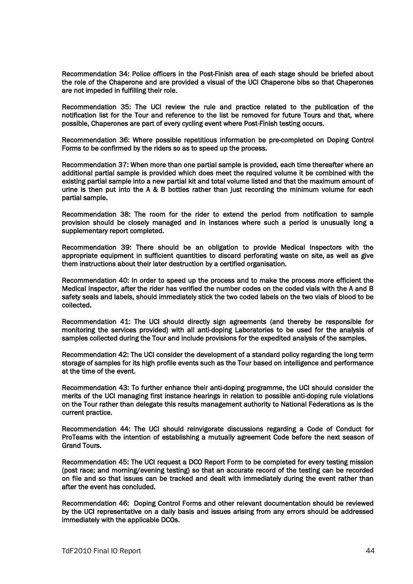Recommendation 34: Police officers in the Post-Finish area of each stage should be briefed about the role of the Chaperone and are provided a visual of the UCI Chaperone bibs so that Chaperones are not impeded in fulfilling their role.

Recommendation 35: The UCI review the rule and practice related to the publication of the notification list for the Tour and reference to the list be removed for future Tours and that, where possible, Chaperones are part of every cycling event where Post-Finish testing occurs.

Recommendation 36: Where possible repetitious information be pre-completed on Doping Control Forms to be confirmed by the riders so as to speed up the process.

Recommendation 37: When more than one partial sample is provided, each time thereafter where an additional partial sample is provided which does meet the required volume it be combined with the existing partial sample into a new partial kit and total volume listed and that the maximum amount of urine is then put into the A & B bottles rather than just recording the minimum volume for each partial sample.

Recommendation 38: The room for the rider to extend the period from notification to sample provision should be closely managed and in instances where such a period is unusually long a supplementary report completed.

Recommendation 39: There should be an obligation to provide Medical Inspectors with the appropriate equipment in sufficient quantities to discard perforating waste on site, as well as give them instructions about their later destruction by a certified organisation.

Recommendation 40: In order to speed up the process and to make the process more efficient the Medical Inspector, after the rider has verified the number codes on the coded vials with the A and B safety seals and labels, should immediately stick the two coded labels on the two vials of blood to be collected.

Recommendation 41: The UCI should directly sign agreements (and thereby be responsible for monitoring the services provided) with all anti-doping Laboratories to be used for the analysis of samples collected during the Tour and include provisions for the expedited analysis of the samples.

Recommendation 42: The UCI consider the development of a standard policy regarding the long term storage of samples for its high profile events such as the Tour based on intelligence and performance at the time of the event.

Recommendation 43: To further enhance their anti-doping programme, the UCI should consider the merits of the UCI managing first instance hearings in relation to possible anti-doping rule violations on the Tour rather than delegate this results management authority to National Federations as is the current practice.

Recommendation 44: The UCI should reinvigorate discussions regarding a Code of Conduct for ProTeams with the intention of establishing a mutually agreement Code before the next season of Grand Tours.

Recommendation 45: The UCI request a DCO Report Form to be completed for every testing mission (post race; and morning/evening testing) so that an accurate record of the testing can be recorded on file and so that issues can be tracked and dealt with immediately during the event rather than after the event has concluded.

Recommendation 46: Doping Control Forms and other relevant documentation should be reviewed by the UCI representative on a daily basis and issues arising from any errors should be addressed immediately with the applicable DCOs.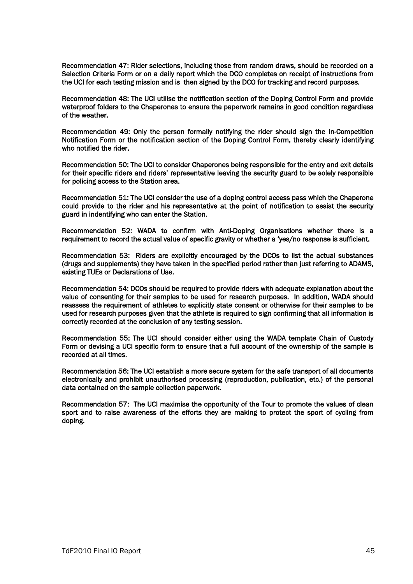Recommendation 47: Rider selections, including those from random draws, should be recorded on a Selection Criteria Form or on a daily report which the DCO completes on receipt of instructions from the UCI for each testing mission and is then signed by the DCO for tracking and record purposes.

Recommendation 48: The UCI utilise the notification section of the Doping Control Form and provide waterproof folders to the Chaperones to ensure the paperwork remains in good condition regardless of the weather.

Recommendation 49: Only the person formally notifying the rider should sign the In-Competition Notification Form or the notification section of the Doping Control Form, thereby clearly identifying who notified the rider.

Recommendation 50: The UCI to consider Chaperones being responsible for the entry and exit details for their specific riders and riders' representative leaving the security guard to be solely responsible for policing access to the Station area.

Recommendation 51: The UCI consider the use of a doping control access pass which the Chaperone could provide to the rider and his representative at the point of notification to assist the security guard in indentifying who can enter the Station.

Recommendation 52: WADA to confirm with Anti-Doping Organisations whether there is a requirement to record the actual value of specific gravity or whether a 'yes/no response is sufficient.

Recommendation 53: Riders are explicitly encouraged by the DCOs to list the actual substances (drugs and supplements) they have taken in the specified period rather than just referring to ADAMS, existing TUEs or Declarations of Use.

Recommendation 54: DCOs should be required to provide riders with adequate explanation about the value of consenting for their samples to be used for research purposes. In addition, WADA should reassess the requirement of athletes to explicitly state consent or otherwise for their samples to be used for research purposes given that the athlete is required to sign confirming that all information is correctly recorded at the conclusion of any testing session.

Recommendation 55: The UCI should consider either using the WADA template Chain of Custody Form or devising a UCI specific form to ensure that a full account of the ownership of the sample is recorded at all times.

Recommendation 56: The UCI establish a more secure system for the safe transport of all documents electronically and prohibit unauthorised processing (reproduction, publication, etc.) of the personal data contained on the sample collection paperwork.

Recommendation 57: The UCI maximise the opportunity of the Tour to promote the values of clean sport and to raise awareness of the efforts they are making to protect the sport of cycling from doping.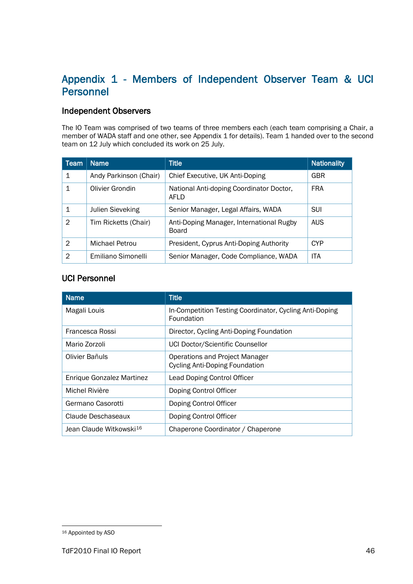## Appendix 1 - Members of Independent Observer Team & UCI Personnel

## Independent Observers

The IO Team was comprised of two teams of three members each (each team comprising a Chair, a member of WADA staff and one other, see Appendix 1 for details). Team 1 handed over to the second team on 12 July which concluded its work on 25 July.

| Team           | <b>Name</b>             | <b>Title</b>                                      | <b>Nationality</b> |
|----------------|-------------------------|---------------------------------------------------|--------------------|
| 1              | Andy Parkinson (Chair)  | Chief Executive, UK Anti-Doping                   | GBR                |
| 1              | Olivier Grondin         | National Anti-doping Coordinator Doctor,<br>AFLD  | <b>FRA</b>         |
|                | <b>Julien Sieveking</b> | Senior Manager, Legal Affairs, WADA               | <b>SUI</b>         |
| $\mathfrak{D}$ | Tim Ricketts (Chair)    | Anti-Doping Manager, International Rugby<br>Board | <b>AUS</b>         |
| $\mathfrak{D}$ | Michael Petrou          | President, Cyprus Anti-Doping Authority           | <b>CYP</b>         |
| $\mathfrak{D}$ | Emiliano Simonelli      | Senior Manager, Code Compliance, WADA             | <b>ITA</b>         |

## UCI Personnel

| <b>Name</b>                         | <b>Title</b>                                                          |
|-------------------------------------|-----------------------------------------------------------------------|
| Magali Louis                        | In-Competition Testing Coordinator, Cycling Anti-Doping<br>Foundation |
| Francesca Rossi                     | Director, Cycling Anti-Doping Foundation                              |
| Mario Zorzoli                       | UCI Doctor/Scientific Counsellor                                      |
| Olivier Bañuls                      | Operations and Project Manager<br>Cycling Anti-Doping Foundation      |
| Enrique Gonzalez Martinez           | <b>Lead Doping Control Officer</b>                                    |
| Michel Rivière                      | Doping Control Officer                                                |
| Germano Casorotti                   | Doping Control Officer                                                |
| Claude Deschaseaux                  | Doping Control Officer                                                |
| Jean Claude Witkowski <sup>16</sup> | Chaperone Coordinator / Chaperone                                     |

<span id="page-46-0"></span> <sup>16</sup> Appointed by ASO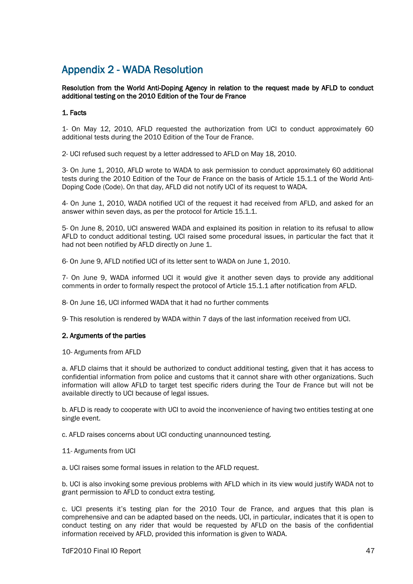## Appendix 2 - WADA Resolution

#### Resolution from the World Anti-Doping Agency in relation to the request made by AFLD to conduct additional testing on the 2010 Edition of the Tour de France

#### 1. Facts

1- On May 12, 2010, AFLD requested the authorization from UCI to conduct approximately 60 additional tests during the 2010 Edition of the Tour de France.

2- UCI refused such request by a letter addressed to AFLD on May 18, 2010.

3- On June 1, 2010, AFLD wrote to WADA to ask permission to conduct approximately 60 additional tests during the 2010 Edition of the Tour de France on the basis of Article 15.1.1 of the World Anti-Doping Code (Code). On that day, AFLD did not notify UCI of its request to WADA.

4- On June 1, 2010, WADA notified UCI of the request it had received from AFLD, and asked for an answer within seven days, as per the protocol for Article 15.1.1.

5- On June 8, 2010, UCI answered WADA and explained its position in relation to its refusal to allow AFLD to conduct additional testing. UCI raised some procedural issues, in particular the fact that it had not been notified by AFLD directly on June 1.

6- On June 9, AFLD notified UCI of its letter sent to WADA on June 1, 2010.

7- On June 9, WADA informed UCI it would give it another seven days to provide any additional comments in order to formally respect the protocol of Article 15.1.1 after notification from AFLD.

8- On June 16, UCI informed WADA that it had no further comments

9- This resolution is rendered by WADA within 7 days of the last information received from UCI.

#### 2. Arguments of the parties

10- Arguments from AFLD

a. AFLD claims that it should be authorized to conduct additional testing, given that it has access to confidential information from police and customs that it cannot share with other organizations. Such information will allow AFLD to target test specific riders during the Tour de France but will not be available directly to UCI because of legal issues.

b. AFLD is ready to cooperate with UCI to avoid the inconvenience of having two entities testing at one single event.

c. AFLD raises concerns about UCI conducting unannounced testing.

#### 11- Arguments from UCI

a. UCI raises some formal issues in relation to the AFLD request.

b. UCI is also invoking some previous problems with AFLD which in its view would justify WADA not to grant permission to AFLD to conduct extra testing.

c. UCI presents it's testing plan for the 2010 Tour de France, and argues that this plan is comprehensive and can be adapted based on the needs. UCI, in particular, indicates that it is open to conduct testing on any rider that would be requested by AFLD on the basis of the confidential information received by AFLD, provided this information is given to WADA.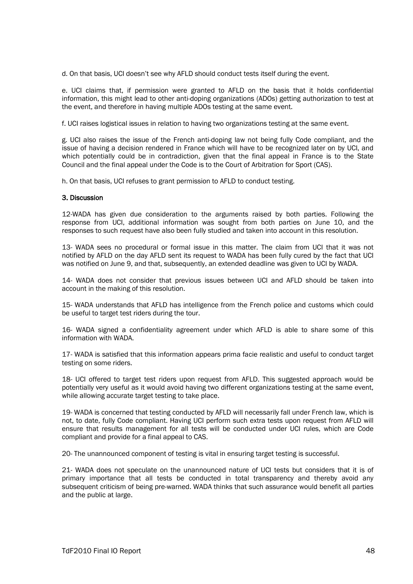d. On that basis, UCI doesn't see why AFLD should conduct tests itself during the event.

e. UCI claims that, if permission were granted to AFLD on the basis that it holds confidential information, this might lead to other anti-doping organizations (ADOs) getting authorization to test at the event, and therefore in having multiple ADOs testing at the same event.

f. UCI raises logistical issues in relation to having two organizations testing at the same event.

g. UCI also raises the issue of the French anti-doping law not being fully Code compliant, and the issue of having a decision rendered in France which will have to be recognized later on by UCI, and which potentially could be in contradiction, given that the final appeal in France is to the State Council and the final appeal under the Code is to the Court of Arbitration for Sport (CAS).

h. On that basis, UCI refuses to grant permission to AFLD to conduct testing.

#### 3. Discussion

12-WADA has given due consideration to the arguments raised by both parties. Following the response from UCI, additional information was sought from both parties on June 10, and the responses to such request have also been fully studied and taken into account in this resolution.

13- WADA sees no procedural or formal issue in this matter. The claim from UCI that it was not notified by AFLD on the day AFLD sent its request to WADA has been fully cured by the fact that UCI was notified on June 9, and that, subsequently, an extended deadline was given to UCI by WADA.

14- WADA does not consider that previous issues between UCI and AFLD should be taken into account in the making of this resolution.

15- WADA understands that AFLD has intelligence from the French police and customs which could be useful to target test riders during the tour.

16- WADA signed a confidentiality agreement under which AFLD is able to share some of this information with WADA.

17- WADA is satisfied that this information appears prima facie realistic and useful to conduct target testing on some riders.

18- UCI offered to target test riders upon request from AFLD. This suggested approach would be potentially very useful as it would avoid having two different organizations testing at the same event, while allowing accurate target testing to take place.

19- WADA is concerned that testing conducted by AFLD will necessarily fall under French law, which is not, to date, fully Code compliant. Having UCI perform such extra tests upon request from AFLD will ensure that results management for all tests will be conducted under UCI rules, which are Code compliant and provide for a final appeal to CAS.

20- The unannounced component of testing is vital in ensuring target testing is successful.

21- WADA does not speculate on the unannounced nature of UCI tests but considers that it is of primary importance that all tests be conducted in total transparency and thereby avoid any subsequent criticism of being pre-warned. WADA thinks that such assurance would benefit all parties and the public at large.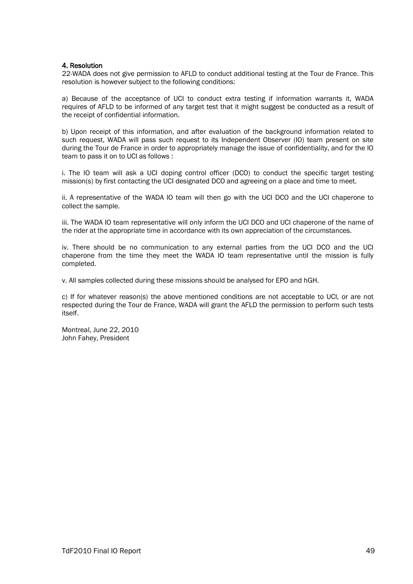#### 4. Resolution

22-WADA does not give permission to AFLD to conduct additional testing at the Tour de France. This resolution is however subject to the following conditions:

a) Because of the acceptance of UCI to conduct extra testing if information warrants it, WADA requires of AFLD to be informed of any target test that it might suggest be conducted as a result of the receipt of confidential information.

b) Upon receipt of this information, and after evaluation of the background information related to such request, WADA will pass such request to its Independent Observer (IO) team present on site during the Tour de France in order to appropriately manage the issue of confidentiality, and for the IO team to pass it on to UCI as follows :

i. The IO team will ask a UCI doping control officer (DCO) to conduct the specific target testing mission(s) by first contacting the UCI designated DCO and agreeing on a place and time to meet.

ii. A representative of the WADA IO team will then go with the UCI DCO and the UCI chaperone to collect the sample.

iii. The WADA IO team representative will only inform the UCI DCO and UCI chaperone of the name of the rider at the appropriate time in accordance with its own appreciation of the circumstances.

iv. There should be no communication to any external parties from the UCI DCO and the UCI chaperone from the time they meet the WADA IO team representative until the mission is fully completed.

v. All samples collected during these missions should be analysed for EPO and hGH.

c) If for whatever reason(s) the above mentioned conditions are not acceptable to UCI, or are not respected during the Tour de France, WADA will grant the AFLD the permission to perform such tests itself.

Montreal, June 22, 2010 John Fahey, President